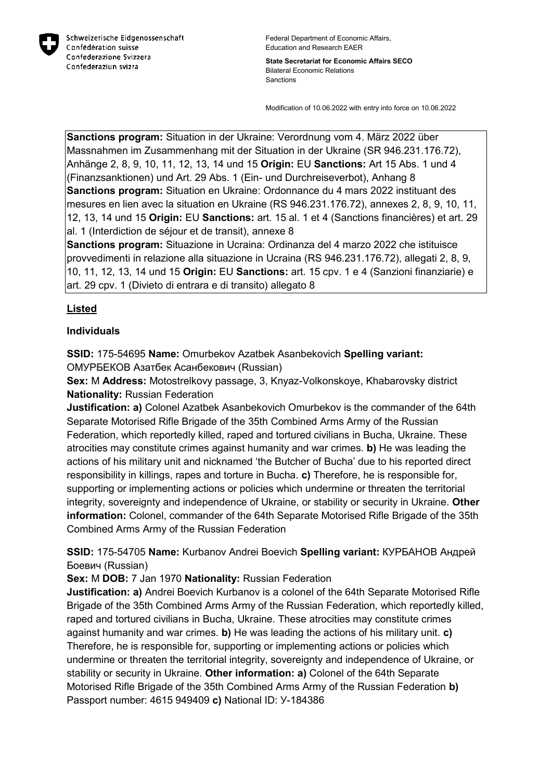

Federal Department of Economic Affairs, Education and Research EAER

**State Secretariat for Economic Affairs SECO** Bilateral Economic Relations Sanctions

Modification of 10.06.2022 with entry into force on 10.06.2022

**Sanctions program:** Situation in der Ukraine: Verordnung vom 4. März 2022 über Massnahmen im Zusammenhang mit der Situation in der Ukraine (SR 946.231.176.72), Anhänge 2, 8, 9, 10, 11, 12, 13, 14 und 15 **Origin:** EU **Sanctions:** Art 15 Abs. 1 und 4 (Finanzsanktionen) und Art. 29 Abs. 1 (Ein- und Durchreiseverbot), Anhang 8 **Sanctions program:** Situation en Ukraine: Ordonnance du 4 mars 2022 instituant des mesures en lien avec la situation en Ukraine (RS 946.231.176.72), annexes 2, 8, 9, 10, 11, 12, 13, 14 und 15 **Origin:** EU **Sanctions:** art. 15 al. 1 et 4 (Sanctions financières) et art. 29 al. 1 (Interdiction de séjour et de transit), annexe 8

**Sanctions program:** Situazione in Ucraina: Ordinanza del 4 marzo 2022 che istituisce provvedimenti in relazione alla situazione in Ucraina (RS 946.231.176.72), allegati 2, 8, 9, 10, 11, 12, 13, 14 und 15 **Origin:** EU **Sanctions:** art. 15 cpv. 1 e 4 (Sanzioni finanziarie) e art. 29 cpv. 1 (Divieto di entrara e di transito) allegato 8

# **Listed**

#### **Individuals**

**SSID:** 175-54695 **Name:** Omurbekov Azatbek Asanbekovich **Spelling variant:**  ОМУРБЕКОВ Азатбек Асанбекович (Russian)

**Sex:** M **Address:** Motostrelkovy passage, 3, Knyaz-Volkonskoye, Khabarovsky district **Nationality:** Russian Federation

**Justification: a)** Colonel Azatbek Asanbekovich Omurbekov is the commander of the 64th Separate Motorised Rifle Brigade of the 35th Combined Arms Army of the Russian Federation, which reportedly killed, raped and tortured civilians in Bucha, Ukraine. These atrocities may constitute crimes against humanity and war crimes. **b)** He was leading the actions of his military unit and nicknamed 'the Butcher of Bucha' due to his reported direct responsibility in killings, rapes and torture in Bucha. **c)** Therefore, he is responsible for, supporting or implementing actions or policies which undermine or threaten the territorial integrity, sovereignty and independence of Ukraine, or stability or security in Ukraine. **Other information:** Colonel, commander of the 64th Separate Motorised Rifle Brigade of the 35th Combined Arms Army of the Russian Federation

**SSID:** 175-54705 **Name:** Kurbanov Andrei Boevich **Spelling variant:** КУРБАНОВ Андрей Боевич (Russian)

**Sex:** M **DOB:** 7 Jan 1970 **Nationality:** Russian Federation

**Justification: a)** Andrei Boevich Kurbanov is a colonel of the 64th Separate Motorised Rifle Brigade of the 35th Combined Arms Army of the Russian Federation, which reportedly killed, raped and tortured civilians in Bucha, Ukraine. These atrocities may constitute crimes against humanity and war crimes. **b)** He was leading the actions of his military unit. **c)**  Therefore, he is responsible for, supporting or implementing actions or policies which undermine or threaten the territorial integrity, sovereignty and independence of Ukraine, or stability or security in Ukraine. **Other information: a)** Colonel of the 64th Separate Motorised Rifle Brigade of the 35th Combined Arms Army of the Russian Federation **b)**  Passport number: 4615 949409 **c)** National ID: У-184386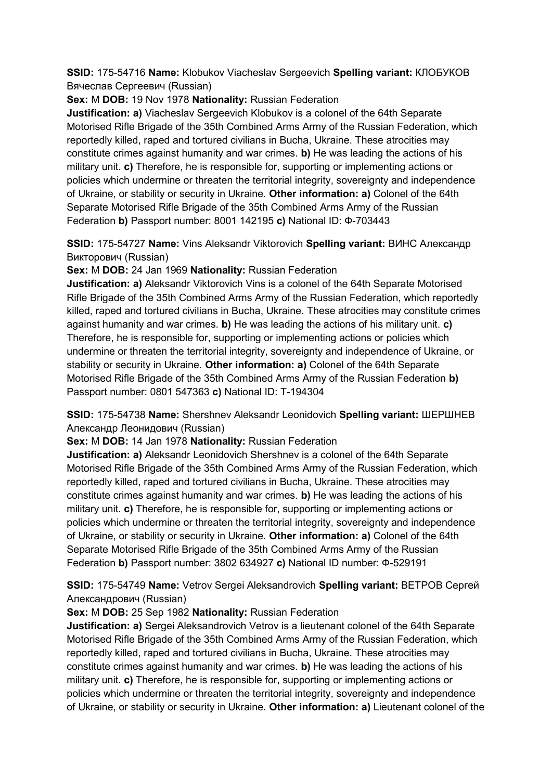**SSID:** 175-54716 **Name:** Klobukov Viacheslav Sergeevich **Spelling variant:** КЛОБУКОВ Вячеслав Сергеевич (Russian)

**Sex:** M **DOB:** 19 Nov 1978 **Nationality:** Russian Federation

**Justification: a)** Viacheslav Sergeevich Klobukov is a colonel of the 64th Separate Motorised Rifle Brigade of the 35th Combined Arms Army of the Russian Federation, which reportedly killed, raped and tortured civilians in Bucha, Ukraine. These atrocities may constitute crimes against humanity and war crimes. **b)** He was leading the actions of his military unit. **c)** Therefore, he is responsible for, supporting or implementing actions or policies which undermine or threaten the territorial integrity, sovereignty and independence of Ukraine, or stability or security in Ukraine. **Other information: a)** Colonel of the 64th Separate Motorised Rifle Brigade of the 35th Combined Arms Army of the Russian Federation **b)** Passport number: 8001 142195 **c)** National ID: Ф-703443

**SSID:** 175-54727 **Name:** Vins Aleksandr Viktorovich **Spelling variant:** ВИНС Александр Викторович (Russian)

**Sex:** M **DOB:** 24 Jan 1969 **Nationality:** Russian Federation

**Justification: a)** Aleksandr Viktorovich Vins is a colonel of the 64th Separate Motorised Rifle Brigade of the 35th Combined Arms Army of the Russian Federation, which reportedly killed, raped and tortured civilians in Bucha, Ukraine. These atrocities may constitute crimes against humanity and war crimes. **b)** He was leading the actions of his military unit. **c)**  Therefore, he is responsible for, supporting or implementing actions or policies which undermine or threaten the territorial integrity, sovereignty and independence of Ukraine, or stability or security in Ukraine. **Other information: a)** Colonel of the 64th Separate Motorised Rifle Brigade of the 35th Combined Arms Army of the Russian Federation **b)**  Passport number: 0801 547363 **c)** National ID: T-194304

**SSID:** 175-54738 **Name:** Shershnev Aleksandr Leonidovich **Spelling variant:** ШЕРШНЕВ Александр Леонидович (Russian)

**Sex:** M **DOB:** 14 Jan 1978 **Nationality:** Russian Federation

**Justification: a)** Aleksandr Leonidovich Shershnev is a colonel of the 64th Separate Motorised Rifle Brigade of the 35th Combined Arms Army of the Russian Federation, which reportedly killed, raped and tortured civilians in Bucha, Ukraine. These atrocities may constitute crimes against humanity and war crimes. **b)** He was leading the actions of his military unit. **c)** Therefore, he is responsible for, supporting or implementing actions or policies which undermine or threaten the territorial integrity, sovereignty and independence of Ukraine, or stability or security in Ukraine. **Other information: a)** Colonel of the 64th Separate Motorised Rifle Brigade of the 35th Combined Arms Army of the Russian Federation **b)** Passport number: 3802 634927 **c)** National ID number: Ф-529191

**SSID:** 175-54749 **Name:** Vetrov Sergei Aleksandrovich **Spelling variant:** ВЕТРОВ Сергей Александрович (Russian)

**Sex:** M **DOB:** 25 Sep 1982 **Nationality:** Russian Federation

**Justification: a)** Sergei Aleksandrovich Vetrov is a lieutenant colonel of the 64th Separate Motorised Rifle Brigade of the 35th Combined Arms Army of the Russian Federation, which reportedly killed, raped and tortured civilians in Bucha, Ukraine. These atrocities may constitute crimes against humanity and war crimes. **b)** He was leading the actions of his military unit. **c)** Therefore, he is responsible for, supporting or implementing actions or policies which undermine or threaten the territorial integrity, sovereignty and independence of Ukraine, or stability or security in Ukraine. **Other information: a)** Lieutenant colonel of the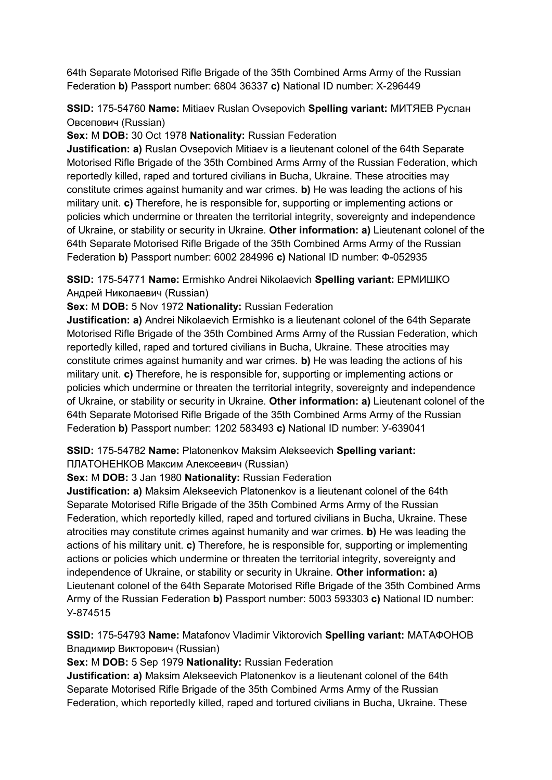64th Separate Motorised Rifle Brigade of the 35th Combined Arms Army of the Russian Federation **b)** Passport number: 6804 36337 **c)** National ID number: X-296449

# **SSID:** 175-54760 **Name:** Mitiaev Ruslan Ovsepovich **Spelling variant:** МИТЯЕВ Руслан Овсепович (Russian)

#### **Sex:** M **DOB:** 30 Oct 1978 **Nationality:** Russian Federation

**Justification: a)** Ruslan Ovsepovich Mitiaev is a lieutenant colonel of the 64th Separate Motorised Rifle Brigade of the 35th Combined Arms Army of the Russian Federation, which reportedly killed, raped and tortured civilians in Bucha, Ukraine. These atrocities may constitute crimes against humanity and war crimes. **b)** He was leading the actions of his military unit. **c)** Therefore, he is responsible for, supporting or implementing actions or policies which undermine or threaten the territorial integrity, sovereignty and independence of Ukraine, or stability or security in Ukraine. **Other information: a)** Lieutenant colonel of the 64th Separate Motorised Rifle Brigade of the 35th Combined Arms Army of the Russian Federation **b)** Passport number: 6002 284996 **c)** National ID number: Ф-052935

#### **SSID:** 175-54771 **Name:** Ermishko Andrei Nikolaevich **Spelling variant:** ЕРМИШКО Андрей Николаевич (Russian)

#### **Sex:** M **DOB:** 5 Nov 1972 **Nationality:** Russian Federation

**Justification: a)** Andrei Nikolaevich Ermishko is a lieutenant colonel of the 64th Separate Motorised Rifle Brigade of the 35th Combined Arms Army of the Russian Federation, which reportedly killed, raped and tortured civilians in Bucha, Ukraine. These atrocities may constitute crimes against humanity and war crimes. **b)** He was leading the actions of his military unit. **c)** Therefore, he is responsible for, supporting or implementing actions or policies which undermine or threaten the territorial integrity, sovereignty and independence of Ukraine, or stability or security in Ukraine. **Other information: a)** Lieutenant colonel of the 64th Separate Motorised Rifle Brigade of the 35th Combined Arms Army of the Russian Federation **b)** Passport number: 1202 583493 **c)** National ID number: У-639041

# **SSID:** 175-54782 **Name:** Platonenkov Maksim Alekseevich **Spelling variant:**

ПЛАТОНЕНКОВ Максим Алексеевич (Russian)

# **Sex:** M **DOB:** 3 Jan 1980 **Nationality:** Russian Federation

**Justification: a)** Maksim Alekseevich Platonenkov is a lieutenant colonel of the 64th Separate Motorised Rifle Brigade of the 35th Combined Arms Army of the Russian Federation, which reportedly killed, raped and tortured civilians in Bucha, Ukraine. These atrocities may constitute crimes against humanity and war crimes. **b)** He was leading the actions of his military unit. **c)** Therefore, he is responsible for, supporting or implementing actions or policies which undermine or threaten the territorial integrity, sovereignty and independence of Ukraine, or stability or security in Ukraine. **Other information: a)**  Lieutenant colonel of the 64th Separate Motorised Rifle Brigade of the 35th Combined Arms Army of the Russian Federation **b)** Passport number: 5003 593303 **c)** National ID number: У-874515

# **SSID:** 175-54793 **Name:** Matafonov Vladimir Viktorovich **Spelling variant:** МАТАФОНОВ Владимир Викторович (Russian)

#### **Sex:** M **DOB:** 5 Sep 1979 **Nationality:** Russian Federation

**Justification: a)** Maksim Alekseevich Platonenkov is a lieutenant colonel of the 64th Separate Motorised Rifle Brigade of the 35th Combined Arms Army of the Russian Federation, which reportedly killed, raped and tortured civilians in Bucha, Ukraine. These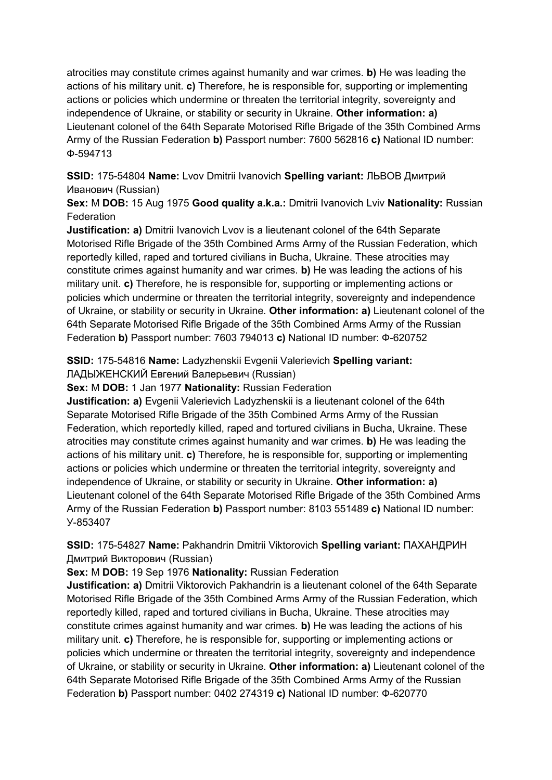atrocities may constitute crimes against humanity and war crimes. **b)** He was leading the actions of his military unit. **c)** Therefore, he is responsible for, supporting or implementing actions or policies which undermine or threaten the territorial integrity, sovereignty and independence of Ukraine, or stability or security in Ukraine. **Other information: a)**  Lieutenant colonel of the 64th Separate Motorised Rifle Brigade of the 35th Combined Arms Army of the Russian Federation **b)** Passport number: 7600 562816 **c)** National ID number: Ф-594713

**SSID:** 175-54804 **Name:** Lvov Dmitrii Ivanovich **Spelling variant:** ЛЬВОВ Дмитрий Иванович (Russian)

**Sex:** M **DOB:** 15 Aug 1975 **Good quality a.k.a.:** Dmitrii Ivanovich Lviv **Nationality:** Russian **Federation** 

**Justification: a)** Dmitrii Ivanovich Lvov is a lieutenant colonel of the 64th Separate Motorised Rifle Brigade of the 35th Combined Arms Army of the Russian Federation, which reportedly killed, raped and tortured civilians in Bucha, Ukraine. These atrocities may constitute crimes against humanity and war crimes. **b)** He was leading the actions of his military unit. **c)** Therefore, he is responsible for, supporting or implementing actions or policies which undermine or threaten the territorial integrity, sovereignty and independence of Ukraine, or stability or security in Ukraine. **Other information: a)** Lieutenant colonel of the 64th Separate Motorised Rifle Brigade of the 35th Combined Arms Army of the Russian Federation **b)** Passport number: 7603 794013 **c)** National ID number: Ф-620752

**SSID:** 175-54816 **Name:** Ladyzhenskii Evgenii Valerievich **Spelling variant:** 

ЛАДЫЖЕНСКИЙ Евгений Валерьевич (Russian)

**Sex:** M **DOB:** 1 Jan 1977 **Nationality:** Russian Federation

**Justification: a)** Evgenii Valerievich Ladyzhenskii is a lieutenant colonel of the 64th Separate Motorised Rifle Brigade of the 35th Combined Arms Army of the Russian Federation, which reportedly killed, raped and tortured civilians in Bucha, Ukraine. These atrocities may constitute crimes against humanity and war crimes. **b)** He was leading the actions of his military unit. **c)** Therefore, he is responsible for, supporting or implementing actions or policies which undermine or threaten the territorial integrity, sovereignty and independence of Ukraine, or stability or security in Ukraine. **Other information: a)**  Lieutenant colonel of the 64th Separate Motorised Rifle Brigade of the 35th Combined Arms Army of the Russian Federation **b)** Passport number: 8103 551489 **c)** National ID number: У-853407

**SSID:** 175-54827 **Name:** Pakhandrin Dmitrii Viktorovich **Spelling variant:** ПАХАНДРИН Дмитрий Викторович (Russian)

**Sex:** M **DOB:** 19 Sep 1976 **Nationality:** Russian Federation

**Justification: a)** Dmitrii Viktorovich Pakhandrin is a lieutenant colonel of the 64th Separate Motorised Rifle Brigade of the 35th Combined Arms Army of the Russian Federation, which reportedly killed, raped and tortured civilians in Bucha, Ukraine. These atrocities may constitute crimes against humanity and war crimes. **b)** He was leading the actions of his military unit. **c)** Therefore, he is responsible for, supporting or implementing actions or policies which undermine or threaten the territorial integrity, sovereignty and independence of Ukraine, or stability or security in Ukraine. **Other information: a)** Lieutenant colonel of the 64th Separate Motorised Rifle Brigade of the 35th Combined Arms Army of the Russian Federation **b)** Passport number: 0402 274319 **c)** National ID number: Ф-620770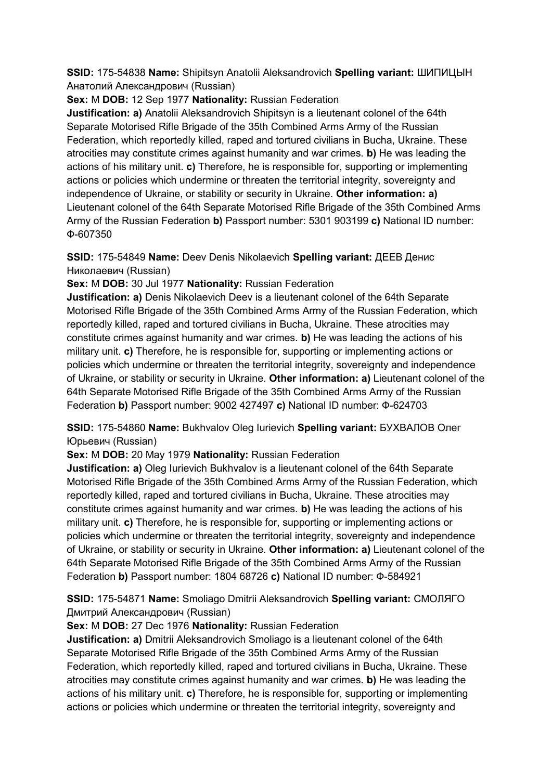**SSID:** 175-54838 **Name:** Shipitsyn Anatolii Aleksandrovich **Spelling variant:** ШИПИЦЫН Анатолий Александрович (Russian)

**Sex:** M **DOB:** 12 Sep 1977 **Nationality:** Russian Federation

**Justification: a)** Anatolii Aleksandrovich Shipitsyn is a lieutenant colonel of the 64th Separate Motorised Rifle Brigade of the 35th Combined Arms Army of the Russian Federation, which reportedly killed, raped and tortured civilians in Bucha, Ukraine. These atrocities may constitute crimes against humanity and war crimes. **b)** He was leading the actions of his military unit. **c)** Therefore, he is responsible for, supporting or implementing actions or policies which undermine or threaten the territorial integrity, sovereignty and independence of Ukraine, or stability or security in Ukraine. **Other information: a)**  Lieutenant colonel of the 64th Separate Motorised Rifle Brigade of the 35th Combined Arms Army of the Russian Federation **b)** Passport number: 5301 903199 **c)** National ID number: Ф-607350

**SSID:** 175-54849 **Name:** Deev Denis Nikolaevich **Spelling variant:** ДЕЕВ Денис Николаевич (Russian)

**Sex:** M **DOB:** 30 Jul 1977 **Nationality:** Russian Federation

**Justification: a)** Denis Nikolaevich Deev is a lieutenant colonel of the 64th Separate Motorised Rifle Brigade of the 35th Combined Arms Army of the Russian Federation, which reportedly killed, raped and tortured civilians in Bucha, Ukraine. These atrocities may constitute crimes against humanity and war crimes. **b)** He was leading the actions of his military unit. **c)** Therefore, he is responsible for, supporting or implementing actions or policies which undermine or threaten the territorial integrity, sovereignty and independence of Ukraine, or stability or security in Ukraine. **Other information: a)** Lieutenant colonel of the 64th Separate Motorised Rifle Brigade of the 35th Combined Arms Army of the Russian Federation **b)** Passport number: 9002 427497 **c)** National ID number: Ф-624703

# **SSID:** 175-54860 **Name:** Bukhvalov Oleg Iurievich **Spelling variant:** БУХВАЛОВ Олег Юрьевич (Russian)

**Sex:** M **DOB:** 20 May 1979 **Nationality:** Russian Federation

**Justification: a)** Oleg Iurievich Bukhvalov is a lieutenant colonel of the 64th Separate Motorised Rifle Brigade of the 35th Combined Arms Army of the Russian Federation, which reportedly killed, raped and tortured civilians in Bucha, Ukraine. These atrocities may constitute crimes against humanity and war crimes. **b)** He was leading the actions of his military unit. **c)** Therefore, he is responsible for, supporting or implementing actions or policies which undermine or threaten the territorial integrity, sovereignty and independence of Ukraine, or stability or security in Ukraine. **Other information: a)** Lieutenant colonel of the 64th Separate Motorised Rifle Brigade of the 35th Combined Arms Army of the Russian Federation **b)** Passport number: 1804 68726 **c)** National ID number: Ф-584921

# **SSID:** 175-54871 **Name:** Smoliago Dmitrii Aleksandrovich **Spelling variant:** СМОЛЯГО Дмитрий Александрович (Russian)

# **Sex:** M **DOB:** 27 Dec 1976 **Nationality:** Russian Federation

**Justification: a)** Dmitrii Aleksandrovich Smoliago is a lieutenant colonel of the 64th Separate Motorised Rifle Brigade of the 35th Combined Arms Army of the Russian Federation, which reportedly killed, raped and tortured civilians in Bucha, Ukraine. These atrocities may constitute crimes against humanity and war crimes. **b)** He was leading the actions of his military unit. **c)** Therefore, he is responsible for, supporting or implementing actions or policies which undermine or threaten the territorial integrity, sovereignty and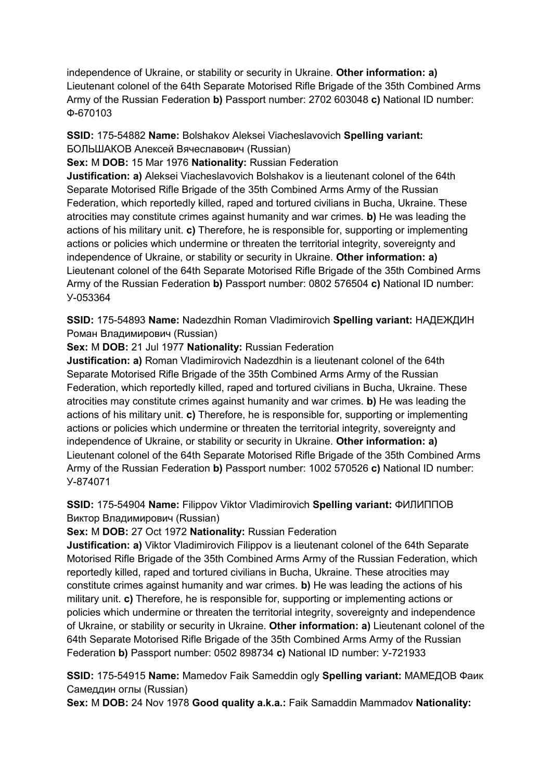independence of Ukraine, or stability or security in Ukraine. **Other information: a)**  Lieutenant colonel of the 64th Separate Motorised Rifle Brigade of the 35th Combined Arms Army of the Russian Federation **b)** Passport number: 2702 603048 **c)** National ID number: Ф-670103

# **SSID:** 175-54882 **Name:** Bolshakov Aleksei Viacheslavovich **Spelling variant:**  БОЛЬШАКОВ Алексей Вячеславович (Russian)

**Sex:** M **DOB:** 15 Mar 1976 **Nationality:** Russian Federation

**Justification: a)** Aleksei Viacheslavovich Bolshakov is a lieutenant colonel of the 64th Separate Motorised Rifle Brigade of the 35th Combined Arms Army of the Russian Federation, which reportedly killed, raped and tortured civilians in Bucha, Ukraine. These atrocities may constitute crimes against humanity and war crimes. **b)** He was leading the actions of his military unit. **c)** Therefore, he is responsible for, supporting or implementing actions or policies which undermine or threaten the territorial integrity, sovereignty and independence of Ukraine, or stability or security in Ukraine. **Other information: a)**  Lieutenant colonel of the 64th Separate Motorised Rifle Brigade of the 35th Combined Arms Army of the Russian Federation **b)** Passport number: 0802 576504 **c)** National ID number: У-053364

**SSID:** 175-54893 **Name:** Nadezdhin Roman Vladimirovich **Spelling variant:** НАДЕЖДИН Роман Владимирович (Russian)

**Sex:** M **DOB:** 21 Jul 1977 **Nationality:** Russian Federation

**Justification: a)** Roman Vladimirovich Nadezdhin is a lieutenant colonel of the 64th Separate Motorised Rifle Brigade of the 35th Combined Arms Army of the Russian Federation, which reportedly killed, raped and tortured civilians in Bucha, Ukraine. These atrocities may constitute crimes against humanity and war crimes. **b)** He was leading the actions of his military unit. **c)** Therefore, he is responsible for, supporting or implementing actions or policies which undermine or threaten the territorial integrity, sovereignty and independence of Ukraine, or stability or security in Ukraine. **Other information: a)**  Lieutenant colonel of the 64th Separate Motorised Rifle Brigade of the 35th Combined Arms Army of the Russian Federation **b)** Passport number: 1002 570526 **c)** National ID number: У-874071

# **SSID:** 175-54904 **Name:** Filippov Viktor Vladimirovich **Spelling variant:** ФИЛИППОВ Виктор Владимирович (Russian)

**Sex:** M **DOB:** 27 Oct 1972 **Nationality:** Russian Federation

**Justification: a)** Viktor Vladimirovich Filippov is a lieutenant colonel of the 64th Separate Motorised Rifle Brigade of the 35th Combined Arms Army of the Russian Federation, which reportedly killed, raped and tortured civilians in Bucha, Ukraine. These atrocities may constitute crimes against humanity and war crimes. **b)** He was leading the actions of his military unit. **c)** Therefore, he is responsible for, supporting or implementing actions or policies which undermine or threaten the territorial integrity, sovereignty and independence of Ukraine, or stability or security in Ukraine. **Other information: a)** Lieutenant colonel of the 64th Separate Motorised Rifle Brigade of the 35th Combined Arms Army of the Russian Federation **b)** Passport number: 0502 898734 **c)** National ID number: У-721933

**SSID:** 175-54915 **Name:** Mamedov Faik Sameddin ogly **Spelling variant:** МАМЕДОВ Фаик Самеддин оглы (Russian)

**Sex:** M **DOB:** 24 Nov 1978 **Good quality a.k.a.:** Faik Samaddin Mammadov **Nationality:**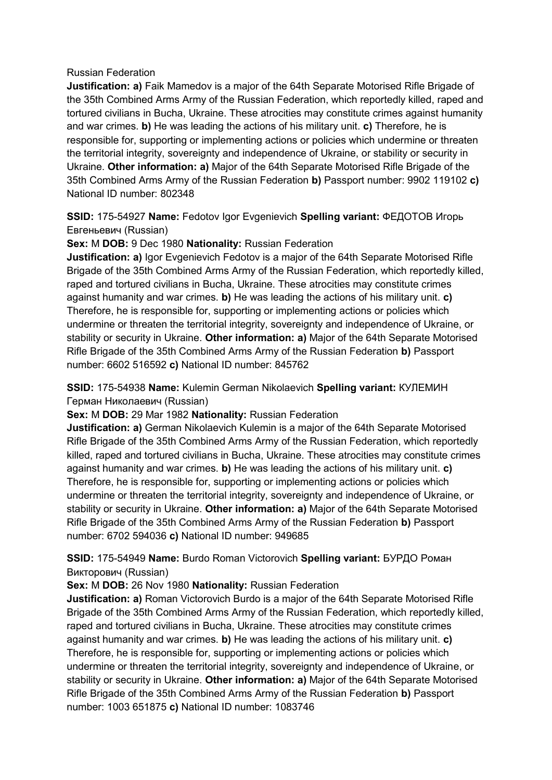#### Russian Federation

**Justification: a)** Faik Mamedov is a major of the 64th Separate Motorised Rifle Brigade of the 35th Combined Arms Army of the Russian Federation, which reportedly killed, raped and tortured civilians in Bucha, Ukraine. These atrocities may constitute crimes against humanity and war crimes. **b)** He was leading the actions of his military unit. **c)** Therefore, he is responsible for, supporting or implementing actions or policies which undermine or threaten the territorial integrity, sovereignty and independence of Ukraine, or stability or security in Ukraine. **Other information: a)** Major of the 64th Separate Motorised Rifle Brigade of the 35th Combined Arms Army of the Russian Federation **b)** Passport number: 9902 119102 **c)**  National ID number: 802348

**SSID:** 175-54927 **Name:** Fedotov Igor Evgenievich **Spelling variant:** ФЕДОТОВ Игорь Евгеньевич (Russian)

#### **Sex:** M **DOB:** 9 Dec 1980 **Nationality:** Russian Federation

**Justification: a)** Igor Evgenievich Fedotov is a major of the 64th Separate Motorised Rifle Brigade of the 35th Combined Arms Army of the Russian Federation, which reportedly killed, raped and tortured civilians in Bucha, Ukraine. These atrocities may constitute crimes against humanity and war crimes. **b)** He was leading the actions of his military unit. **c)**  Therefore, he is responsible for, supporting or implementing actions or policies which undermine or threaten the territorial integrity, sovereignty and independence of Ukraine, or stability or security in Ukraine. **Other information: a)** Major of the 64th Separate Motorised Rifle Brigade of the 35th Combined Arms Army of the Russian Federation **b)** Passport number: 6602 516592 **c)** National ID number: 845762

**SSID:** 175-54938 **Name:** Kulemin German Nikolaevich **Spelling variant:** КУЛЕМИН Герман Николаевич (Russian)

#### **Sex:** M **DOB:** 29 Mar 1982 **Nationality:** Russian Federation

**Justification: a)** German Nikolaevich Kulemin is a major of the 64th Separate Motorised Rifle Brigade of the 35th Combined Arms Army of the Russian Federation, which reportedly killed, raped and tortured civilians in Bucha, Ukraine. These atrocities may constitute crimes against humanity and war crimes. **b)** He was leading the actions of his military unit. **c)**  Therefore, he is responsible for, supporting or implementing actions or policies which undermine or threaten the territorial integrity, sovereignty and independence of Ukraine, or stability or security in Ukraine. **Other information: a)** Major of the 64th Separate Motorised Rifle Brigade of the 35th Combined Arms Army of the Russian Federation **b)** Passport number: 6702 594036 **c)** National ID number: 949685

# **SSID:** 175-54949 **Name:** Burdo Roman Victorovich **Spelling variant:** БУРДО Роман Викторович (Russian)

**Sex:** M **DOB:** 26 Nov 1980 **Nationality:** Russian Federation

**Justification: a)** Roman Victorovich Burdo is a major of the 64th Separate Motorised Rifle Brigade of the 35th Combined Arms Army of the Russian Federation, which reportedly killed, raped and tortured civilians in Bucha, Ukraine. These atrocities may constitute crimes against humanity and war crimes. **b)** He was leading the actions of his military unit. **c)**  Therefore, he is responsible for, supporting or implementing actions or policies which undermine or threaten the territorial integrity, sovereignty and independence of Ukraine, or stability or security in Ukraine. **Other information: a)** Major of the 64th Separate Motorised Rifle Brigade of the 35th Combined Arms Army of the Russian Federation **b)** Passport number: 1003 651875 **c)** National ID number: 1083746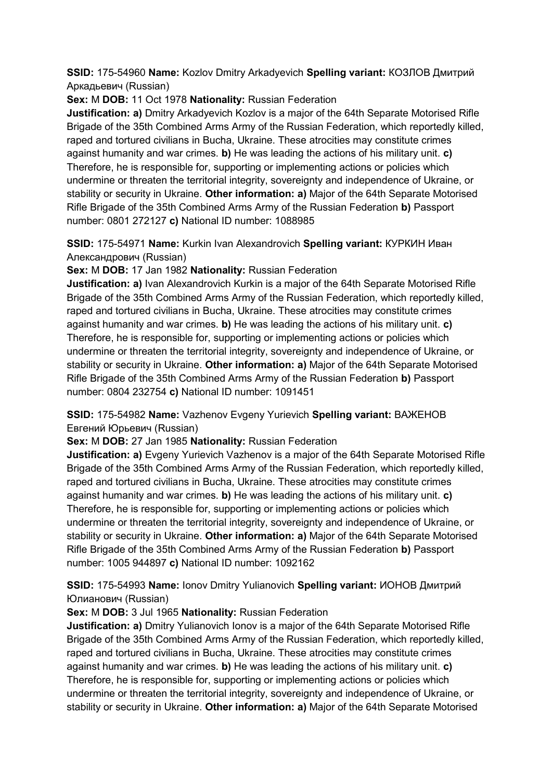**SSID:** 175-54960 **Name:** Kozlov Dmitry Arkadyevich **Spelling variant:** КОЗЛОВ Дмитрий Аркадьевич (Russian)

**Sex:** M **DOB:** 11 Oct 1978 **Nationality:** Russian Federation

**Justification: a)** Dmitry Arkadyevich Kozlov is a major of the 64th Separate Motorised Rifle Brigade of the 35th Combined Arms Army of the Russian Federation, which reportedly killed, raped and tortured civilians in Bucha, Ukraine. These atrocities may constitute crimes against humanity and war crimes. **b)** He was leading the actions of his military unit. **c)**  Therefore, he is responsible for, supporting or implementing actions or policies which undermine or threaten the territorial integrity, sovereignty and independence of Ukraine, or stability or security in Ukraine. **Other information: a)** Major of the 64th Separate Motorised Rifle Brigade of the 35th Combined Arms Army of the Russian Federation **b)** Passport number: 0801 272127 **c)** National ID number: 1088985

**SSID:** 175-54971 **Name:** Kurkin Ivan Alexandrovich **Spelling variant:** КУРКИН Иван Александрович (Russian)

**Sex:** M **DOB:** 17 Jan 1982 **Nationality:** Russian Federation

**Justification: a)** Ivan Alexandrovich Kurkin is a major of the 64th Separate Motorised Rifle Brigade of the 35th Combined Arms Army of the Russian Federation, which reportedly killed, raped and tortured civilians in Bucha, Ukraine. These atrocities may constitute crimes against humanity and war crimes. **b)** He was leading the actions of his military unit. **c)**  Therefore, he is responsible for, supporting or implementing actions or policies which undermine or threaten the territorial integrity, sovereignty and independence of Ukraine, or stability or security in Ukraine. **Other information: a)** Major of the 64th Separate Motorised Rifle Brigade of the 35th Combined Arms Army of the Russian Federation **b)** Passport number: 0804 232754 **c)** National ID number: 1091451

# **SSID:** 175-54982 **Name:** Vazhenov Evgeny Yurievich **Spelling variant:** ВАЖЕНОВ Евгений Юрьевич (Russian)

**Sex:** M **DOB:** 27 Jan 1985 **Nationality:** Russian Federation

**Justification: a)** Evgeny Yurievich Vazhenov is a major of the 64th Separate Motorised Rifle Brigade of the 35th Combined Arms Army of the Russian Federation, which reportedly killed, raped and tortured civilians in Bucha, Ukraine. These atrocities may constitute crimes against humanity and war crimes. **b)** He was leading the actions of his military unit. **c)**  Therefore, he is responsible for, supporting or implementing actions or policies which undermine or threaten the territorial integrity, sovereignty and independence of Ukraine, or stability or security in Ukraine. **Other information: a)** Major of the 64th Separate Motorised Rifle Brigade of the 35th Combined Arms Army of the Russian Federation **b)** Passport number: 1005 944897 **c)** National ID number: 1092162

**SSID:** 175-54993 **Name:** Ionov Dmitry Yulianovich **Spelling variant:** ИОНОВ Дмитрий Юлианович (Russian)

**Sex:** M **DOB:** 3 Jul 1965 **Nationality:** Russian Federation

**Justification: a)** Dmitry Yulianovich Ionov is a major of the 64th Separate Motorised Rifle Brigade of the 35th Combined Arms Army of the Russian Federation, which reportedly killed, raped and tortured civilians in Bucha, Ukraine. These atrocities may constitute crimes against humanity and war crimes. **b)** He was leading the actions of his military unit. **c)**  Therefore, he is responsible for, supporting or implementing actions or policies which undermine or threaten the territorial integrity, sovereignty and independence of Ukraine, or stability or security in Ukraine. **Other information: a)** Major of the 64th Separate Motorised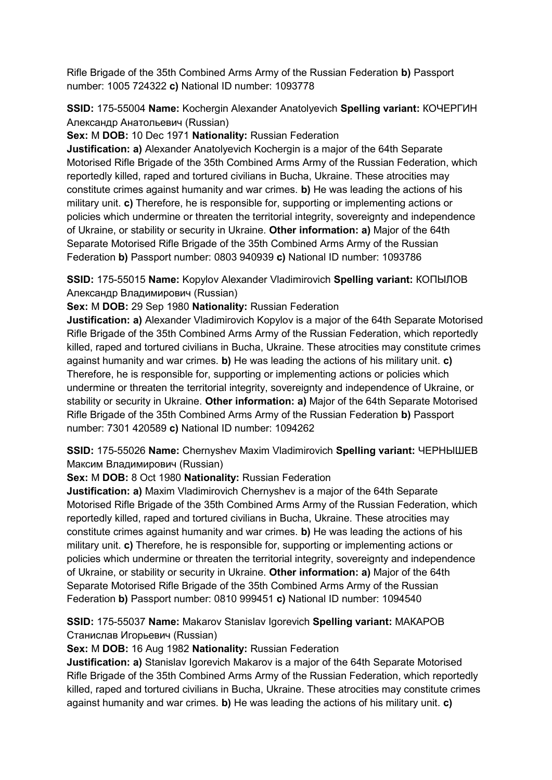Rifle Brigade of the 35th Combined Arms Army of the Russian Federation **b)** Passport number: 1005 724322 **c)** National ID number: 1093778

**SSID:** 175-55004 **Name:** Kochergin Alexander Anatolyevich **Spelling variant:** КОЧЕРГИН Александр Анатольевич (Russian)

**Sex:** M **DOB:** 10 Dec 1971 **Nationality:** Russian Federation

**Justification: a)** Alexander Anatolyevich Kochergin is a major of the 64th Separate Motorised Rifle Brigade of the 35th Combined Arms Army of the Russian Federation, which reportedly killed, raped and tortured civilians in Bucha, Ukraine. These atrocities may constitute crimes against humanity and war crimes. **b)** He was leading the actions of his military unit. **c)** Therefore, he is responsible for, supporting or implementing actions or policies which undermine or threaten the territorial integrity, sovereignty and independence of Ukraine, or stability or security in Ukraine. **Other information: a)** Major of the 64th Separate Motorised Rifle Brigade of the 35th Combined Arms Army of the Russian Federation **b)** Passport number: 0803 940939 **c)** National ID number: 1093786

**SSID:** 175-55015 **Name:** Kopylov Alexander Vladimirovich **Spelling variant:** КОПЫЛОВ Александр Владимирович (Russian)

**Sex:** M **DOB:** 29 Sep 1980 **Nationality:** Russian Federation

**Justification: a)** Alexander Vladimirovich Kopylov is a major of the 64th Separate Motorised Rifle Brigade of the 35th Combined Arms Army of the Russian Federation, which reportedly killed, raped and tortured civilians in Bucha, Ukraine. These atrocities may constitute crimes against humanity and war crimes. **b)** He was leading the actions of his military unit. **c)**  Therefore, he is responsible for, supporting or implementing actions or policies which undermine or threaten the territorial integrity, sovereignty and independence of Ukraine, or stability or security in Ukraine. **Other information: a)** Major of the 64th Separate Motorised Rifle Brigade of the 35th Combined Arms Army of the Russian Federation **b)** Passport number: 7301 420589 **c)** National ID number: 1094262

**SSID:** 175-55026 **Name:** Chernyshev Maxim Vladimirovich **Spelling variant:** ЧЕРНЫШЕВ Максим Владимирович (Russian)

**Sex:** M **DOB:** 8 Oct 1980 **Nationality:** Russian Federation

**Justification: a)** Maxim Vladimirovich Chernyshev is a major of the 64th Separate Motorised Rifle Brigade of the 35th Combined Arms Army of the Russian Federation, which reportedly killed, raped and tortured civilians in Bucha, Ukraine. These atrocities may constitute crimes against humanity and war crimes. **b)** He was leading the actions of his military unit. **c)** Therefore, he is responsible for, supporting or implementing actions or policies which undermine or threaten the territorial integrity, sovereignty and independence of Ukraine, or stability or security in Ukraine. **Other information: a)** Major of the 64th Separate Motorised Rifle Brigade of the 35th Combined Arms Army of the Russian Federation **b)** Passport number: 0810 999451 **c)** National ID number: 1094540

**SSID:** 175-55037 **Name:** Makarov Stanislav Igorevich **Spelling variant:** МAКАРОВ Станислав Игорьевич (Russian)

**Sex:** M **DOB:** 16 Aug 1982 **Nationality:** Russian Federation

**Justification: a)** Stanislav Igorevich Makarov is a major of the 64th Separate Motorised Rifle Brigade of the 35th Combined Arms Army of the Russian Federation, which reportedly killed, raped and tortured civilians in Bucha, Ukraine. These atrocities may constitute crimes against humanity and war crimes. **b)** He was leading the actions of his military unit. **c)**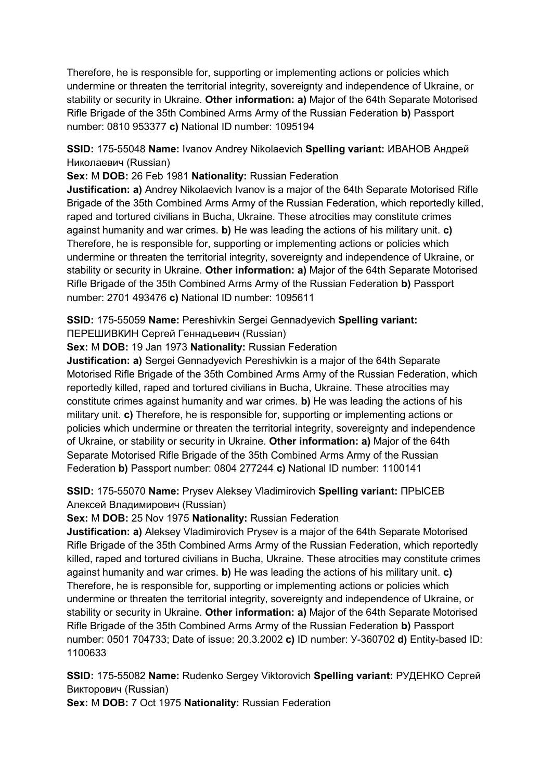Therefore, he is responsible for, supporting or implementing actions or policies which undermine or threaten the territorial integrity, sovereignty and independence of Ukraine, or stability or security in Ukraine. **Other information: a)** Major of the 64th Separate Motorised Rifle Brigade of the 35th Combined Arms Army of the Russian Federation **b)** Passport number: 0810 953377 **c)** National ID number: 1095194

**SSID:** 175-55048 **Name:** Ivanov Andrey Nikolaevich **Spelling variant:** ИВАНОВ Андрей Николаевич (Russian)

**Sex:** M **DOB:** 26 Feb 1981 **Nationality:** Russian Federation

**Justification: a)** Andrey Nikolaevich Ivanov is a major of the 64th Separate Motorised Rifle Brigade of the 35th Combined Arms Army of the Russian Federation, which reportedly killed, raped and tortured civilians in Bucha, Ukraine. These atrocities may constitute crimes against humanity and war crimes. **b)** He was leading the actions of his military unit. **c)**  Therefore, he is responsible for, supporting or implementing actions or policies which undermine or threaten the territorial integrity, sovereignty and independence of Ukraine, or stability or security in Ukraine. **Other information: a)** Major of the 64th Separate Motorised Rifle Brigade of the 35th Combined Arms Army of the Russian Federation **b)** Passport number: 2701 493476 **c)** National ID number: 1095611

**SSID:** 175-55059 **Name:** Pereshivkin Sergei Gennadyevich **Spelling variant:**  ПЕРЕШИВКИН Сергей Геннадьевич (Russian)

**Sex:** M **DOB:** 19 Jan 1973 **Nationality:** Russian Federation

**Justification: a)** Sergei Gennadyevich Pereshivkin is a major of the 64th Separate Motorised Rifle Brigade of the 35th Combined Arms Army of the Russian Federation, which reportedly killed, raped and tortured civilians in Bucha, Ukraine. These atrocities may constitute crimes against humanity and war crimes. **b)** He was leading the actions of his military unit. **c)** Therefore, he is responsible for, supporting or implementing actions or policies which undermine or threaten the territorial integrity, sovereignty and independence of Ukraine, or stability or security in Ukraine. **Other information: a)** Major of the 64th Separate Motorised Rifle Brigade of the 35th Combined Arms Army of the Russian Federation **b)** Passport number: 0804 277244 **c)** National ID number: 1100141

**SSID:** 175-55070 **Name:** Prysev Aleksey Vladimirovich **Spelling variant:** ПРЫСЕВ Алексей Владимирович (Russian)

**Sex:** M **DOB:** 25 Nov 1975 **Nationality:** Russian Federation

**Justification: a)** Aleksey Vladimirovich Prysev is a major of the 64th Separate Motorised Rifle Brigade of the 35th Combined Arms Army of the Russian Federation, which reportedly killed, raped and tortured civilians in Bucha, Ukraine. These atrocities may constitute crimes against humanity and war crimes. **b)** He was leading the actions of his military unit. **c)**  Therefore, he is responsible for, supporting or implementing actions or policies which undermine or threaten the territorial integrity, sovereignty and independence of Ukraine, or stability or security in Ukraine. **Other information: a)** Major of the 64th Separate Motorised Rifle Brigade of the 35th Combined Arms Army of the Russian Federation **b)** Passport number: 0501 704733; Date of issue: 20.3.2002 **c)** ID number: У-360702 **d)** Entity-based ID: 1100633

**SSID:** 175-55082 **Name:** Rudenko Sergey Viktorovich **Spelling variant:** РУДЕНКО Сергей Викторович (Russian)

**Sex:** M **DOB:** 7 Oct 1975 **Nationality:** Russian Federation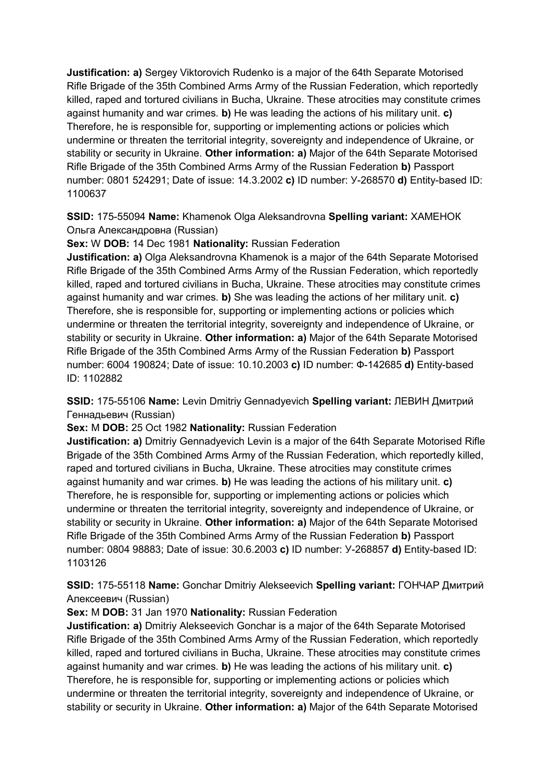**Justification: a)** Sergey Viktorovich Rudenko is a major of the 64th Separate Motorised Rifle Brigade of the 35th Combined Arms Army of the Russian Federation, which reportedly killed, raped and tortured civilians in Bucha, Ukraine. These atrocities may constitute crimes against humanity and war crimes. **b)** He was leading the actions of his military unit. **c)**  Therefore, he is responsible for, supporting or implementing actions or policies which undermine or threaten the territorial integrity, sovereignty and independence of Ukraine, or stability or security in Ukraine. **Other information: a)** Major of the 64th Separate Motorised Rifle Brigade of the 35th Combined Arms Army of the Russian Federation **b)** Passport number: 0801 524291; Date of issue: 14.3.2002 **c)** ID number: У-268570 **d)** Entity-based ID: 1100637

**SSID:** 175-55094 **Name:** Khamenok Olga Aleksandrovna **Spelling variant:** ХАМЕНОК Ольга Александровна (Russian)

**Sex:** W **DOB:** 14 Dec 1981 **Nationality:** Russian Federation

**Justification: a)** Olga Aleksandrovna Khamenok is a major of the 64th Separate Motorised Rifle Brigade of the 35th Combined Arms Army of the Russian Federation, which reportedly killed, raped and tortured civilians in Bucha, Ukraine. These atrocities may constitute crimes against humanity and war crimes. **b)** She was leading the actions of her military unit. **c)**  Therefore, she is responsible for, supporting or implementing actions or policies which undermine or threaten the territorial integrity, sovereignty and independence of Ukraine, or stability or security in Ukraine. **Other information: a)** Major of the 64th Separate Motorised Rifle Brigade of the 35th Combined Arms Army of the Russian Federation **b)** Passport number: 6004 190824; Date of issue: 10.10.2003 **c)** ID number: Ф-142685 **d)** Entity-based ID: 1102882

**SSID:** 175-55106 **Name:** Levin Dmitriy Gennadyevich **Spelling variant:** ЛЕВИН Дмитрий Геннадьевич (Russian)

**Sex:** M **DOB:** 25 Oct 1982 **Nationality:** Russian Federation

**Justification: a)** Dmitriy Gennadyevich Levin is a major of the 64th Separate Motorised Rifle Brigade of the 35th Combined Arms Army of the Russian Federation, which reportedly killed, raped and tortured civilians in Bucha, Ukraine. These atrocities may constitute crimes against humanity and war crimes. **b)** He was leading the actions of his military unit. **c)**  Therefore, he is responsible for, supporting or implementing actions or policies which undermine or threaten the territorial integrity, sovereignty and independence of Ukraine, or stability or security in Ukraine. **Other information: a)** Major of the 64th Separate Motorised Rifle Brigade of the 35th Combined Arms Army of the Russian Federation **b)** Passport number: 0804 98883; Date of issue: 30.6.2003 **c)** ID number: У-268857 **d)** Entity-based ID: 1103126

**SSID:** 175-55118 **Name:** Gonchar Dmitriy Alekseevich **Spelling variant:** ГОНЧАР Дмитрий Алексеевич (Russian)

**Sex:** M **DOB:** 31 Jan 1970 **Nationality:** Russian Federation

**Justification: a)** Dmitriy Alekseevich Gonchar is a major of the 64th Separate Motorised Rifle Brigade of the 35th Combined Arms Army of the Russian Federation, which reportedly killed, raped and tortured civilians in Bucha, Ukraine. These atrocities may constitute crimes against humanity and war crimes. **b)** He was leading the actions of his military unit. **c)**  Therefore, he is responsible for, supporting or implementing actions or policies which undermine or threaten the territorial integrity, sovereignty and independence of Ukraine, or stability or security in Ukraine. **Other information: a)** Major of the 64th Separate Motorised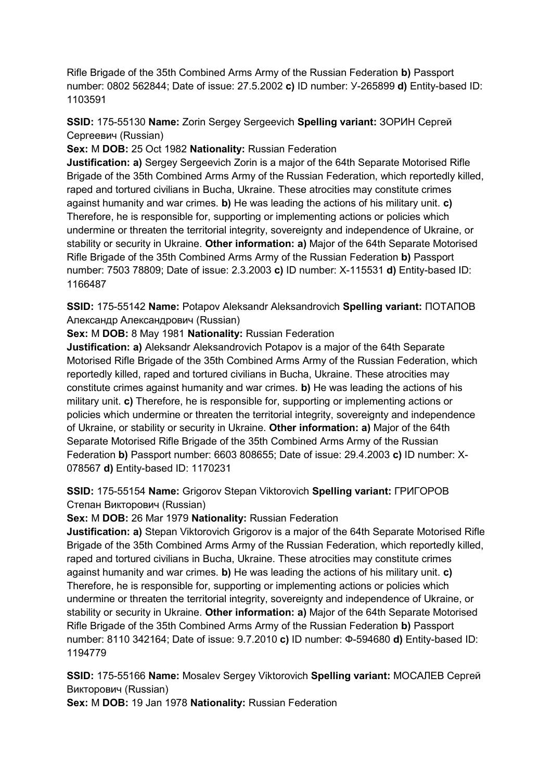Rifle Brigade of the 35th Combined Arms Army of the Russian Federation **b)** Passport number: 0802 562844; Date of issue: 27.5.2002 **c)** ID number: У-265899 **d)** Entity-based ID: 1103591

**SSID:** 175-55130 **Name:** Zorin Sergey Sergeevich **Spelling variant:** ЗОРИН Сергей Сергеевич (Russian)

**Sex:** M **DOB:** 25 Oct 1982 **Nationality:** Russian Federation

**Justification: a)** Sergey Sergeevich Zorin is a major of the 64th Separate Motorised Rifle Brigade of the 35th Combined Arms Army of the Russian Federation, which reportedly killed, raped and tortured civilians in Bucha, Ukraine. These atrocities may constitute crimes against humanity and war crimes. **b)** He was leading the actions of his military unit. **c)**  Therefore, he is responsible for, supporting or implementing actions or policies which undermine or threaten the territorial integrity, sovereignty and independence of Ukraine, or stability or security in Ukraine. **Other information: a)** Major of the 64th Separate Motorised Rifle Brigade of the 35th Combined Arms Army of the Russian Federation **b)** Passport number: 7503 78809; Date of issue: 2.3.2003 **c)** ID number: X-115531 **d)** Entity-based ID: 1166487

**SSID:** 175-55142 **Name:** Potapov Aleksandr Aleksandrovich **Spelling variant:** ПОТАПОВ Александр Александрович (Russian)

**Sex:** M **DOB:** 8 May 1981 **Nationality:** Russian Federation

**Justification: a)** Aleksandr Aleksandrovich Potapov is a major of the 64th Separate Motorised Rifle Brigade of the 35th Combined Arms Army of the Russian Federation, which reportedly killed, raped and tortured civilians in Bucha, Ukraine. These atrocities may constitute crimes against humanity and war crimes. **b)** He was leading the actions of his military unit. **c)** Therefore, he is responsible for, supporting or implementing actions or policies which undermine or threaten the territorial integrity, sovereignty and independence of Ukraine, or stability or security in Ukraine. **Other information: a)** Major of the 64th Separate Motorised Rifle Brigade of the 35th Combined Arms Army of the Russian Federation **b)** Passport number: 6603 808655; Date of issue: 29.4.2003 **c)** ID number: X-078567 **d)** Entity-based ID: 1170231

**SSID:** 175-55154 **Name:** Grigorov Stepan Viktorovich **Spelling variant:** ГРИГОРОВ Степан Викторович (Russian)

**Sex:** M **DOB:** 26 Mar 1979 **Nationality:** Russian Federation

**Justification: a)** Stepan Viktorovich Grigorov is a major of the 64th Separate Motorised Rifle Brigade of the 35th Combined Arms Army of the Russian Federation, which reportedly killed, raped and tortured civilians in Bucha, Ukraine. These atrocities may constitute crimes against humanity and war crimes. **b)** He was leading the actions of his military unit. **c)**  Therefore, he is responsible for, supporting or implementing actions or policies which undermine or threaten the territorial integrity, sovereignty and independence of Ukraine, or stability or security in Ukraine. **Other information: a)** Major of the 64th Separate Motorised Rifle Brigade of the 35th Combined Arms Army of the Russian Federation **b)** Passport number: 8110 342164; Date of issue: 9.7.2010 **c)** ID number: Ф-594680 **d)** Entity-based ID: 1194779

**SSID:** 175-55166 **Name:** Mosalev Sergey Viktorovich **Spelling variant:** МОСАЛЕВ Сергей Викторович (Russian)

**Sex:** M **DOB:** 19 Jan 1978 **Nationality:** Russian Federation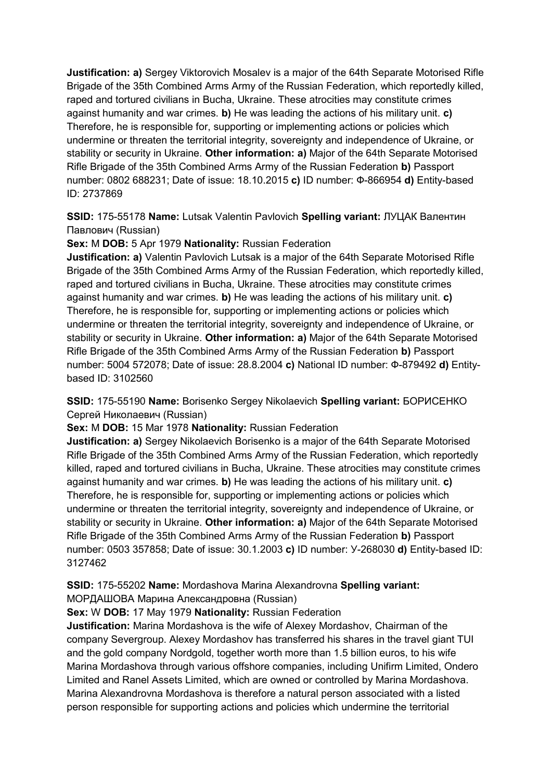**Justification: a)** Sergey Viktorovich Mosalev is a major of the 64th Separate Motorised Rifle Brigade of the 35th Combined Arms Army of the Russian Federation, which reportedly killed, raped and tortured civilians in Bucha, Ukraine. These atrocities may constitute crimes against humanity and war crimes. **b)** He was leading the actions of his military unit. **c)**  Therefore, he is responsible for, supporting or implementing actions or policies which undermine or threaten the territorial integrity, sovereignty and independence of Ukraine, or stability or security in Ukraine. **Other information: a)** Major of the 64th Separate Motorised Rifle Brigade of the 35th Combined Arms Army of the Russian Federation **b)** Passport number: 0802 688231; Date of issue: 18.10.2015 **c)** ID number: Ф-866954 **d)** Entity-based ID: 2737869

**SSID:** 175-55178 **Name:** Lutsak Valentin Pavlovich **Spelling variant:** ЛУЦАК Валентин Павлович (Russian)

**Sex:** M **DOB:** 5 Apr 1979 **Nationality:** Russian Federation

**Justification: a)** Valentin Pavlovich Lutsak is a major of the 64th Separate Motorised Rifle Brigade of the 35th Combined Arms Army of the Russian Federation, which reportedly killed, raped and tortured civilians in Bucha, Ukraine. These atrocities may constitute crimes against humanity and war crimes. **b)** He was leading the actions of his military unit. **c)**  Therefore, he is responsible for, supporting or implementing actions or policies which undermine or threaten the territorial integrity, sovereignty and independence of Ukraine, or stability or security in Ukraine. **Other information: a)** Major of the 64th Separate Motorised Rifle Brigade of the 35th Combined Arms Army of the Russian Federation **b)** Passport number: 5004 572078; Date of issue: 28.8.2004 **c)** National ID number: Ф-879492 **d)** Entitybased ID: 3102560

**SSID:** 175-55190 **Name:** Borisenko Sergey Nikolaevich **Spelling variant:** БОРИСЕНКО Сергей Николаевич (Russian)

**Sex:** M **DOB:** 15 Mar 1978 **Nationality:** Russian Federation

**Justification: a)** Sergey Nikolaevich Borisenko is a major of the 64th Separate Motorised Rifle Brigade of the 35th Combined Arms Army of the Russian Federation, which reportedly killed, raped and tortured civilians in Bucha, Ukraine. These atrocities may constitute crimes against humanity and war crimes. **b)** He was leading the actions of his military unit. **c)**  Therefore, he is responsible for, supporting or implementing actions or policies which undermine or threaten the territorial integrity, sovereignty and independence of Ukraine, or stability or security in Ukraine. **Other information: a)** Major of the 64th Separate Motorised Rifle Brigade of the 35th Combined Arms Army of the Russian Federation **b)** Passport number: 0503 357858; Date of issue: 30.1.2003 **c)** ID number: У-268030 **d)** Entity-based ID: 3127462

**SSID:** 175-55202 **Name:** Mordashova Marina Alexandrovna **Spelling variant:** 

МОРДАШОВА Марина Александровна (Russian)

**Sex:** W **DOB:** 17 May 1979 **Nationality:** Russian Federation

**Justification:** Marina Mordashova is the wife of Alexey Mordashov, Chairman of the company Severgroup. Alexey Mordashov has transferred his shares in the travel giant TUI and the gold company Nordgold, together worth more than 1.5 billion euros, to his wife Marina Mordashova through various offshore companies, including Unifirm Limited, Ondero Limited and Ranel Assets Limited, which are owned or controlled by Marina Mordashova. Marina Alexandrovna Mordashova is therefore a natural person associated with a listed person responsible for supporting actions and policies which undermine the territorial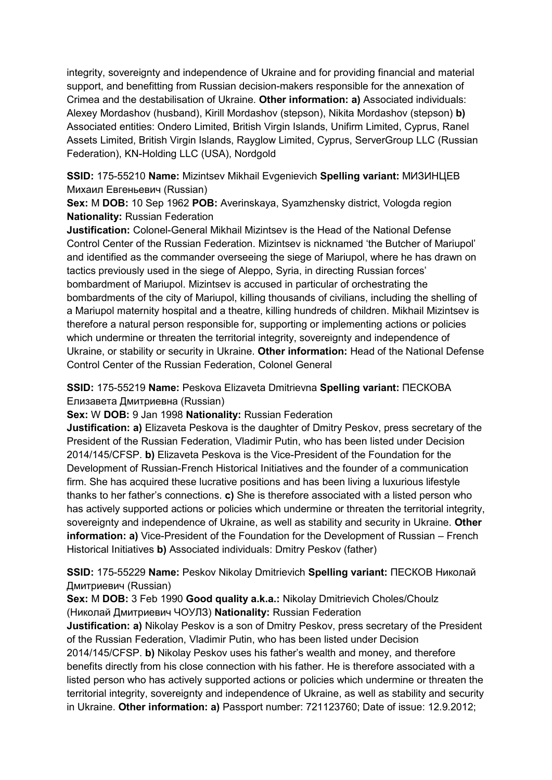integrity, sovereignty and independence of Ukraine and for providing financial and material support, and benefitting from Russian decision-makers responsible for the annexation of Crimea and the destabilisation of Ukraine. **Other information: a)** Associated individuals: Alexey Mordashov (husband), Kirill Mordashov (stepson), Nikita Mordashov (stepson) **b)**  Associated entities: Ondero Limited, British Virgin Islands, Unifirm Limited, Cyprus, Ranel Assets Limited, British Virgin Islands, Rayglow Limited, Cyprus, ServerGroup LLC (Russian Federation), KN-Holding LLC (USA), Nordgold

**SSID:** 175-55210 **Name:** Mizintsev Mikhail Evgenievich **Spelling variant:** МИЗИНЦЕВ Михаил Евгеньевич (Russian)

**Sex:** M **DOB:** 10 Sep 1962 **POB:** Averinskaya, Syamzhensky district, Vologda region **Nationality:** Russian Federation

**Justification:** Colonel-General Mikhail Mizintsev is the Head of the National Defense Control Center of the Russian Federation. Mizintsev is nicknamed 'the Butcher of Mariupol' and identified as the commander overseeing the siege of Mariupol, where he has drawn on tactics previously used in the siege of Aleppo, Syria, in directing Russian forces' bombardment of Mariupol. Mizintsev is accused in particular of orchestrating the bombardments of the city of Mariupol, killing thousands of civilians, including the shelling of a Mariupol maternity hospital and a theatre, killing hundreds of children. Mikhail Mizintsev is therefore a natural person responsible for, supporting or implementing actions or policies which undermine or threaten the territorial integrity, sovereignty and independence of Ukraine, or stability or security in Ukraine. **Other information:** Head of the National Defense Control Center of the Russian Federation, Colonel General

**SSID:** 175-55219 **Name:** Peskova Elizaveta Dmitrievna **Spelling variant:** ПЕСКОВА Елизавета Дмитриевна (Russian)

**Sex:** W **DOB:** 9 Jan 1998 **Nationality:** Russian Federation

**Justification: a)** Elizaveta Peskova is the daughter of Dmitry Peskov, press secretary of the President of the Russian Federation, Vladimir Putin, who has been listed under Decision 2014/145/CFSP. **b)** Elizaveta Peskova is the Vice-President of the Foundation for the Development of Russian-French Historical Initiatives and the founder of a communication firm. She has acquired these lucrative positions and has been living a luxurious lifestyle thanks to her father's connections. **c)** She is therefore associated with a listed person who has actively supported actions or policies which undermine or threaten the territorial integrity, sovereignty and independence of Ukraine, as well as stability and security in Ukraine. **Other information: a)** Vice-President of the Foundation for the Development of Russian – French Historical Initiatives **b)** Associated individuals: Dmitry Peskov (father)

# **SSID:** 175-55229 **Name:** Peskov Nikolay Dmitrievich **Spelling variant:** ПЕСКОВ Николай Дмитриевич (Russian)

**Sex:** M **DOB:** 3 Feb 1990 **Good quality a.k.a.:** Nikolay Dmitrievich Choles/Choulz (Николай Дмитриевич ЧОУЛЗ) **Nationality:** Russian Federation

**Justification: a)** Nikolay Peskov is a son of Dmitry Peskov, press secretary of the President of the Russian Federation, Vladimir Putin, who has been listed under Decision 2014/145/CFSP. **b)** Nikolay Peskov uses his father's wealth and money, and therefore benefits directly from his close connection with his father. He is therefore associated with a listed person who has actively supported actions or policies which undermine or threaten the territorial integrity, sovereignty and independence of Ukraine, as well as stability and security in Ukraine. **Other information: a)** Passport number: 721123760; Date of issue: 12.9.2012;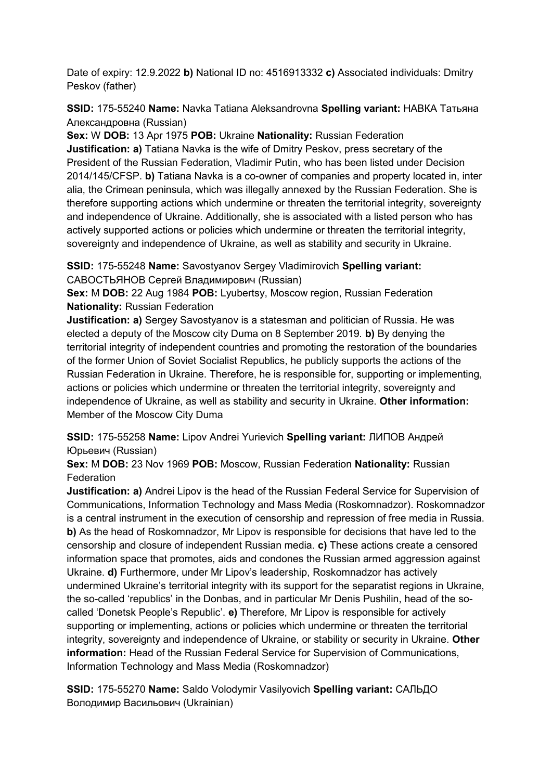Date of expiry: 12.9.2022 **b)** National ID no: 4516913332 **c)** Associated individuals: Dmitry Peskov (father)

**SSID:** 175-55240 **Name:** Navka Tatiana Aleksandrovna **Spelling variant:** НАВКА Татьяна Александровна (Russian)

**Sex:** W **DOB:** 13 Apr 1975 **POB:** Ukraine **Nationality:** Russian Federation **Justification: a)** Tatiana Navka is the wife of Dmitry Peskov, press secretary of the President of the Russian Federation, Vladimir Putin, who has been listed under Decision 2014/145/CFSP. **b)** Tatiana Navka is a co-owner of companies and property located in, inter alia, the Crimean peninsula, which was illegally annexed by the Russian Federation. She is therefore supporting actions which undermine or threaten the territorial integrity, sovereignty and independence of Ukraine. Additionally, she is associated with a listed person who has actively supported actions or policies which undermine or threaten the territorial integrity, sovereignty and independence of Ukraine, as well as stability and security in Ukraine.

**SSID:** 175-55248 **Name:** Savostyanov Sergey Vladimirovich **Spelling variant:**  САВОСТЬЯНОВ Сергей Владимирович (Russian)

**Sex:** M **DOB:** 22 Aug 1984 **POB:** Lyubertsy, Moscow region, Russian Federation **Nationality:** Russian Federation

**Justification: a)** Sergey Savostyanov is a statesman and politician of Russia. He was elected a deputy of the Moscow city Duma on 8 September 2019. **b)** By denying the territorial integrity of independent countries and promoting the restoration of the boundaries of the former Union of Soviet Socialist Republics, he publicly supports the actions of the Russian Federation in Ukraine. Therefore, he is responsible for, supporting or implementing, actions or policies which undermine or threaten the territorial integrity, sovereignty and independence of Ukraine, as well as stability and security in Ukraine. **Other information:** Member of the Moscow City Duma

**SSID:** 175-55258 **Name:** Lipov Andrei Yurievich **Spelling variant:** ЛИПОВ Андрей Юрьевич (Russian)

**Sex:** M **DOB:** 23 Nov 1969 **POB:** Moscow, Russian Federation **Nationality:** Russian **Federation** 

**Justification: a)** Andrei Lipov is the head of the Russian Federal Service for Supervision of Communications, Information Technology and Mass Media (Roskomnadzor). Roskomnadzor is a central instrument in the execution of censorship and repression of free media in Russia. **b)** As the head of Roskomnadzor, Mr Lipov is responsible for decisions that have led to the censorship and closure of independent Russian media. **c)** These actions create a censored information space that promotes, aids and condones the Russian armed aggression against Ukraine. **d)** Furthermore, under Mr Lipov's leadership, Roskomnadzor has actively undermined Ukraine's territorial integrity with its support for the separatist regions in Ukraine, the so-called 'republics' in the Donbas, and in particular Mr Denis Pushilin, head of the socalled 'Donetsk People's Republic'. **e)** Therefore, Mr Lipov is responsible for actively supporting or implementing, actions or policies which undermine or threaten the territorial integrity, sovereignty and independence of Ukraine, or stability or security in Ukraine. **Other information:** Head of the Russian Federal Service for Supervision of Communications, Information Technology and Mass Media (Roskomnadzor)

**SSID:** 175-55270 **Name:** Saldo Volodymir Vasilyovich **Spelling variant:** САЛЬДО Володимир Васильович (Ukrainian)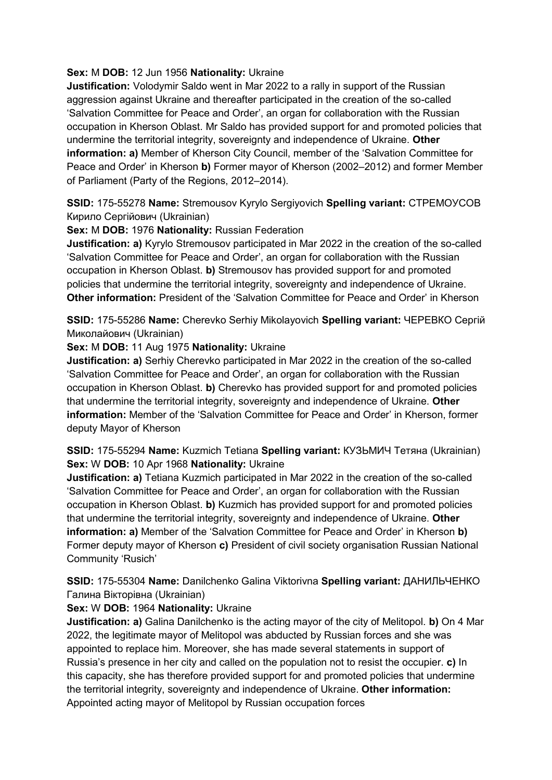# **Sex:** M **DOB:** 12 Jun 1956 **Nationality:** Ukraine

**Justification:** Volodymir Saldo went in Mar 2022 to a rally in support of the Russian aggression against Ukraine and thereafter participated in the creation of the so-called 'Salvation Committee for Peace and Order', an organ for collaboration with the Russian occupation in Kherson Oblast. Mr Saldo has provided support for and promoted policies that undermine the territorial integrity, sovereignty and independence of Ukraine. **Other information: a)** Member of Kherson City Council, member of the 'Salvation Committee for Peace and Order' in Kherson **b)** Former mayor of Kherson (2002–2012) and former Member of Parliament (Party of the Regions, 2012–2014).

**SSID:** 175-55278 **Name:** Stremousov Kyrylo Sergiyovich **Spelling variant:** СТРЕМОУСОВ Кирило Сергiйович (Ukrainian)

**Sex:** M **DOB:** 1976 **Nationality:** Russian Federation

**Justification: a)** Kyrylo Stremousov participated in Mar 2022 in the creation of the so-called 'Salvation Committee for Peace and Order', an organ for collaboration with the Russian occupation in Kherson Oblast. **b)** Stremousov has provided support for and promoted policies that undermine the territorial integrity, sovereignty and independence of Ukraine. **Other information:** President of the 'Salvation Committee for Peace and Order' in Kherson

**SSID:** 175-55286 **Name:** Cherevko Serhiy Mikolayovich **Spelling variant:** ЧЕРЕВКО Сергiй Миколайович (Ukrainian)

**Sex:** M **DOB:** 11 Aug 1975 **Nationality:** Ukraine

**Justification: a)** Serhiy Cherevko participated in Mar 2022 in the creation of the so-called 'Salvation Committee for Peace and Order', an organ for collaboration with the Russian occupation in Kherson Oblast. **b)** Cherevko has provided support for and promoted policies that undermine the territorial integrity, sovereignty and independence of Ukraine. **Other information:** Member of the 'Salvation Committee for Peace and Order' in Kherson, former deputy Mayor of Kherson

**SSID:** 175-55294 **Name:** Kuzmich Tetiana **Spelling variant:** КУЗЬМИЧ Тетяна (Ukrainian) **Sex:** W **DOB:** 10 Apr 1968 **Nationality:** Ukraine

**Justification: a)** Tetiana Kuzmich participated in Mar 2022 in the creation of the so-called 'Salvation Committee for Peace and Order', an organ for collaboration with the Russian occupation in Kherson Oblast. **b)** Kuzmich has provided support for and promoted policies that undermine the territorial integrity, sovereignty and independence of Ukraine. **Other information: a)** Member of the 'Salvation Committee for Peace and Order' in Kherson **b)**  Former deputy mayor of Kherson **c)** President of civil society organisation Russian National Community 'Rusich'

**SSID:** 175-55304 **Name:** Danilchenko Galina Viktorivna **Spelling variant:** ДАНИЛЬЧЕНКО Галина Вiкторiвна (Ukrainian)

# **Sex:** W **DOB:** 1964 **Nationality:** Ukraine

**Justification: a)** Galina Danilchenko is the acting mayor of the city of Melitopol. **b)** On 4 Mar 2022, the legitimate mayor of Melitopol was abducted by Russian forces and she was appointed to replace him. Moreover, she has made several statements in support of Russia's presence in her city and called on the population not to resist the occupier. **c)** In this capacity, she has therefore provided support for and promoted policies that undermine the territorial integrity, sovereignty and independence of Ukraine. **Other information:** Appointed acting mayor of Melitopol by Russian occupation forces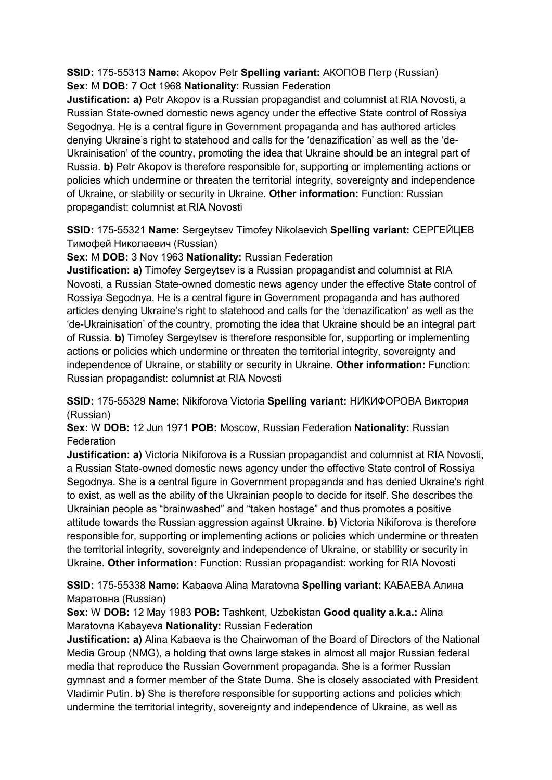**SSID:** 175-55313 **Name:** Akopov Petr **Spelling variant:** АКОПОВ Петр (Russian) **Sex:** M **DOB:** 7 Oct 1968 **Nationality:** Russian Federation

**Justification: a)** Petr Akopov is a Russian propagandist and columnist at RIA Novosti, a Russian State-owned domestic news agency under the effective State control of Rossiya Segodnya. He is a central figure in Government propaganda and has authored articles denying Ukraine's right to statehood and calls for the 'denazification' as well as the 'de-Ukrainisation' of the country, promoting the idea that Ukraine should be an integral part of Russia. **b)** Petr Akopov is therefore responsible for, supporting or implementing actions or policies which undermine or threaten the territorial integrity, sovereignty and independence of Ukraine, or stability or security in Ukraine. **Other information:** Function: Russian propagandist: columnist at RIA Novosti

**SSID:** 175-55321 **Name:** Sergeytsev Timofey Nikolaevich **Spelling variant:** СЕРГЕЙЦЕВ Тимофей Николаевич (Russian)

**Sex:** M **DOB:** 3 Nov 1963 **Nationality:** Russian Federation

**Justification: a)** Timofey Sergeytsev is a Russian propagandist and columnist at RIA Novosti, a Russian State-owned domestic news agency under the effective State control of Rossiya Segodnya. He is a central figure in Government propaganda and has authored articles denying Ukraine's right to statehood and calls for the 'denazification' as well as the 'de-Ukrainisation' of the country, promoting the idea that Ukraine should be an integral part of Russia. **b)** Timofey Sergeytsev is therefore responsible for, supporting or implementing actions or policies which undermine or threaten the territorial integrity, sovereignty and independence of Ukraine, or stability or security in Ukraine. **Other information:** Function: Russian propagandist: columnist at RIA Novosti

**SSID:** 175-55329 **Name:** Nikiforova Victoria **Spelling variant:** НИКИФОРОВА Виктория (Russian)

**Sex:** W **DOB:** 12 Jun 1971 **POB:** Moscow, Russian Federation **Nationality:** Russian **Federation** 

**Justification: a)** Victoria Nikiforova is a Russian propagandist and columnist at RIA Novosti, a Russian State-owned domestic news agency under the effective State control of Rossiya Segodnya. She is a central figure in Government propaganda and has denied Ukraine's right to exist, as well as the ability of the Ukrainian people to decide for itself. She describes the Ukrainian people as "brainwashed" and "taken hostage" and thus promotes a positive attitude towards the Russian aggression against Ukraine. **b)** Victoria Nikiforova is therefore responsible for, supporting or implementing actions or policies which undermine or threaten the territorial integrity, sovereignty and independence of Ukraine, or stability or security in Ukraine. **Other information:** Function: Russian propagandist: working for RIA Novosti

**SSID:** 175-55338 **Name:** Kabaeva Alina Maratovna **Spelling variant:** КАБАЕВА Алина Маратовна (Russian)

**Sex:** W **DOB:** 12 May 1983 **POB:** Tashkent, Uzbekistan **Good quality a.k.a.:** Alina Maratovna Kabayeva **Nationality:** Russian Federation

**Justification: a)** Alina Kabaeva is the Chairwoman of the Board of Directors of the National Media Group (NMG), a holding that owns large stakes in almost all major Russian federal media that reproduce the Russian Government propaganda. She is a former Russian gymnast and a former member of the State Duma. She is closely associated with President Vladimir Putin. **b)** She is therefore responsible for supporting actions and policies which undermine the territorial integrity, sovereignty and independence of Ukraine, as well as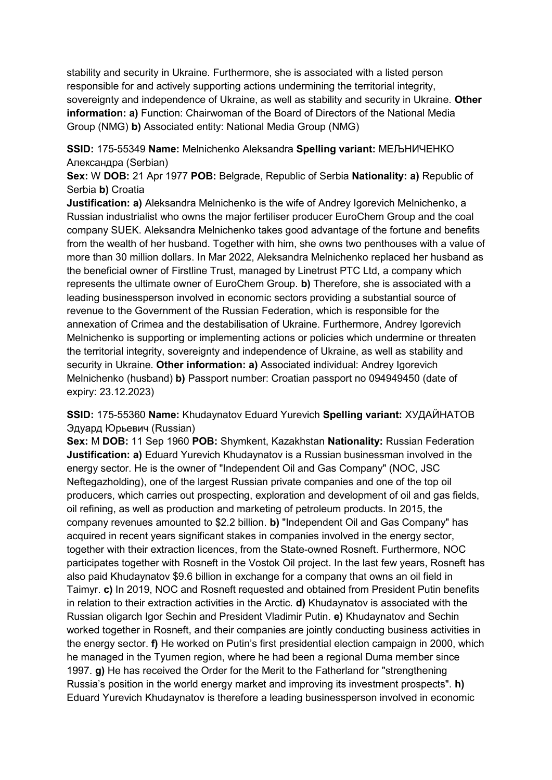stability and security in Ukraine. Furthermore, she is associated with a listed person responsible for and actively supporting actions undermining the territorial integrity, sovereignty and independence of Ukraine, as well as stability and security in Ukraine. **Other information: a)** Function: Chairwoman of the Board of Directors of the National Media Group (NMG) **b)** Associated entity: National Media Group (NMG)

**SSID:** 175-55349 **Name:** Melnichenko Aleksandra **Spelling variant:** МЕЉНИЧЕНКО Александра (Serbian)

**Sex:** W **DOB:** 21 Apr 1977 **POB:** Belgrade, Republic of Serbia **Nationality: a)** Republic of Serbia **b)** Croatia

**Justification: a)** Aleksandra Melnichenko is the wife of Andrey Igorevich Melnichenko, a Russian industrialist who owns the major fertiliser producer EuroChem Group and the coal company SUEK. Aleksandra Melnichenko takes good advantage of the fortune and benefits from the wealth of her husband. Together with him, she owns two penthouses with a value of more than 30 million dollars. In Mar 2022, Aleksandra Melnichenko replaced her husband as the beneficial owner of Firstline Trust, managed by Linetrust PTC Ltd, a company which represents the ultimate owner of EuroChem Group. **b)** Therefore, she is associated with a leading businessperson involved in economic sectors providing a substantial source of revenue to the Government of the Russian Federation, which is responsible for the annexation of Crimea and the destabilisation of Ukraine. Furthermore, Andrey Igorevich Melnichenko is supporting or implementing actions or policies which undermine or threaten the territorial integrity, sovereignty and independence of Ukraine, as well as stability and security in Ukraine. **Other information: a)** Associated individual: Andrey Igorevich Melnichenko (husband) **b)** Passport number: Croatian passport no 094949450 (date of expiry: 23.12.2023)

**SSID:** 175-55360 **Name:** Khudaynatov Eduard Yurevich **Spelling variant:** ХУДАЙНАТОВ Эдуард Юрьевич (Russian)

**Sex:** M **DOB:** 11 Sep 1960 **POB:** Shymkent, Kazakhstan **Nationality:** Russian Federation **Justification: a)** Eduard Yurevich Khudaynatov is a Russian businessman involved in the energy sector. He is the owner of "Independent Oil and Gas Company" (NOC, JSC Neftegazholding), one of the largest Russian private companies and one of the top oil producers, which carries out prospecting, exploration and development of oil and gas fields, oil refining, as well as production and marketing of petroleum products. In 2015, the company revenues amounted to \$2.2 billion. **b)** "Independent Oil and Gas Company" has acquired in recent years significant stakes in companies involved in the energy sector, together with their extraction licences, from the State-owned Rosneft. Furthermore, NOC participates together with Rosneft in the Vostok Oil project. In the last few years, Rosneft has also paid Khudaynatov \$9.6 billion in exchange for a company that owns an oil field in Taimyr. **c)** In 2019, NOC and Rosneft requested and obtained from President Putin benefits in relation to their extraction activities in the Arctic. **d)** Khudaynatov is associated with the Russian oligarch Igor Sechin and President Vladimir Putin. **e)** Khudaynatov and Sechin worked together in Rosneft, and their companies are jointly conducting business activities in the energy sector. **f)** He worked on Putin's first presidential election campaign in 2000, which he managed in the Tyumen region, where he had been a regional Duma member since 1997. **g)** He has received the Order for the Merit to the Fatherland for "strengthening Russia's position in the world energy market and improving its investment prospects". **h)**  Eduard Yurevich Khudaynatov is therefore a leading businessperson involved in economic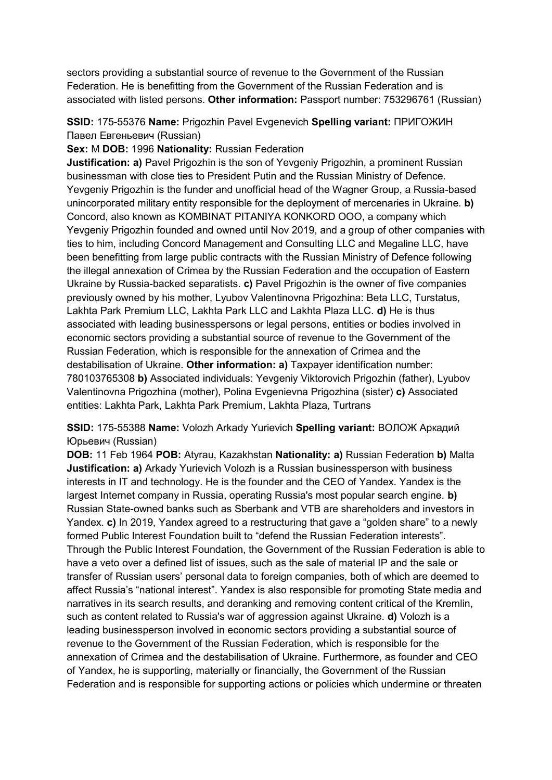sectors providing a substantial source of revenue to the Government of the Russian Federation. He is benefitting from the Government of the Russian Federation and is associated with listed persons. **Other information:** Passport number: 753296761 (Russian)

**SSID:** 175-55376 **Name:** Prigozhin Pavel Evgenevich **Spelling variant:** ПРИГОЖИН Павел Евгеньевич (Russian)

**Sex:** M **DOB:** 1996 **Nationality:** Russian Federation

**Justification: a)** Pavel Prigozhin is the son of Yevgeniy Prigozhin, a prominent Russian businessman with close ties to President Putin and the Russian Ministry of Defence. Yevgeniy Prigozhin is the funder and unofficial head of the Wagner Group, a Russia-based unincorporated military entity responsible for the deployment of mercenaries in Ukraine. **b)**  Concord, also known as KOMBINAT PITANIYA KONKORD OOO, a company which Yevgeniy Prigozhin founded and owned until Nov 2019, and a group of other companies with ties to him, including Concord Management and Consulting LLC and Megaline LLC, have been benefitting from large public contracts with the Russian Ministry of Defence following the illegal annexation of Crimea by the Russian Federation and the occupation of Eastern Ukraine by Russia-backed separatists. **c)** Pavel Prigozhin is the owner of five companies previously owned by his mother, Lyubov Valentinovna Prigozhina: Beta LLC, Turstatus, Lakhta Park Premium LLC, Lakhta Park LLC and Lakhta Plaza LLC. **d)** He is thus associated with leading businesspersons or legal persons, entities or bodies involved in economic sectors providing a substantial source of revenue to the Government of the Russian Federation, which is responsible for the annexation of Crimea and the destabilisation of Ukraine. **Other information: a)** Taxpayer identification number: 780103765308 **b)** Associated individuals: Yevgeniy Viktorovich Prigozhin (father), Lyubov Valentinovna Prigozhina (mother), Polina Evgenievna Prigozhina (sister) **c)** Associated entities: Lakhta Park, Lakhta Park Premium, Lakhta Plaza, Turtrans

**SSID:** 175-55388 **Name:** Volozh Arkady Yurievich **Spelling variant:** ВOЛОЖ Аркaдий Юрьевич (Russian)

**DOB:** 11 Feb 1964 **POB:** Atyrau, Kazakhstan **Nationality: a)** Russian Federation **b)** Malta **Justification: a)** Arkady Yurievich Volozh is a Russian businessperson with business interests in IT and technology. He is the founder and the CEO of Yandex. Yandex is the largest Internet company in Russia, operating Russia's most popular search engine. **b)**  Russian State-owned banks such as Sberbank and VTB are shareholders and investors in Yandex. **c)** In 2019, Yandex agreed to a restructuring that gave a "golden share" to a newly formed Public Interest Foundation built to "defend the Russian Federation interests". Through the Public Interest Foundation, the Government of the Russian Federation is able to have a veto over a defined list of issues, such as the sale of material IP and the sale or transfer of Russian users' personal data to foreign companies, both of which are deemed to affect Russia's "national interest". Yandex is also responsible for promoting State media and narratives in its search results, and deranking and removing content critical of the Kremlin, such as content related to Russia's war of aggression against Ukraine. **d)** Volozh is a leading businessperson involved in economic sectors providing a substantial source of revenue to the Government of the Russian Federation, which is responsible for the annexation of Crimea and the destabilisation of Ukraine. Furthermore, as founder and CEO of Yandex, he is supporting, materially or financially, the Government of the Russian Federation and is responsible for supporting actions or policies which undermine or threaten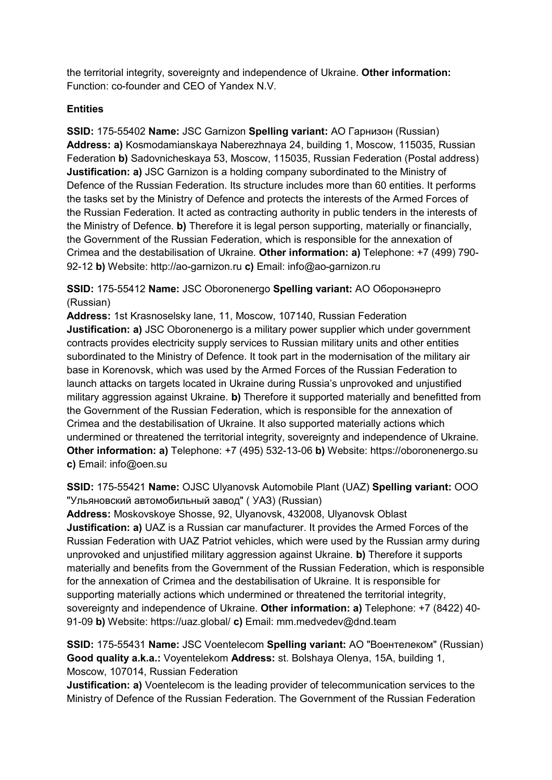the territorial integrity, sovereignty and independence of Ukraine. **Other information:** Function: co-founder and CEO of Yandex N.V.

# **Entities**

**SSID:** 175-55402 **Name:** JSC Garnizon **Spelling variant:** АО Гарнизон (Russian) **Address: a)** Kosmodamianskaya Naberezhnaya 24, building 1, Moscow, 115035, Russian Federation **b)** Sadovnicheskaya 53, Moscow, 115035, Russian Federation (Postal address) **Justification: a)** JSC Garnizon is a holding company subordinated to the Ministry of Defence of the Russian Federation. Its structure includes more than 60 entities. It performs the tasks set by the Ministry of Defence and protects the interests of the Armed Forces of the Russian Federation. It acted as contracting authority in public tenders in the interests of the Ministry of Defence. **b)** Therefore it is legal person supporting, materially or financially, the Government of the Russian Federation, which is responsible for the annexation of Crimea and the destabilisation of Ukraine. **Other information: a)** Telephone: +7 (499) 790- 92-12 **b)** Website: http://ao-garnizon.ru **c)** Email: info@ao-garnizon.ru

**SSID:** 175-55412 **Name:** JSC Oboronenergo **Spelling variant:** АО Оборонэнерго (Russian)

**Address:** 1st Krasnoselsky lane, 11, Moscow, 107140, Russian Federation **Justification: a)** JSC Oboronenergo is a military power supplier which under government contracts provides electricity supply services to Russian military units and other entities subordinated to the Ministry of Defence. It took part in the modernisation of the military air base in Korenovsk, which was used by the Armed Forces of the Russian Federation to launch attacks on targets located in Ukraine during Russia's unprovoked and unjustified military aggression against Ukraine. **b)** Therefore it supported materially and benefitted from the Government of the Russian Federation, which is responsible for the annexation of Crimea and the destabilisation of Ukraine. It also supported materially actions which undermined or threatened the territorial integrity, sovereignty and independence of Ukraine. **Other information: a)** Telephone: +7 (495) 532-13-06 **b)** Website: https://oboronenergo.su **c)** Email: info@oen.su

**SSID:** 175-55421 **Name:** OJSC Ulyanovsk Automobile Plant (UAZ) **Spelling variant:** ООО "Ульяновский автомобильный завод" ( УАЗ) (Russian)

**Address:** Moskovskoye Shosse, 92, Ulyanovsk, 432008, Ulyanovsk Oblast **Justification: a)** UAZ is a Russian car manufacturer. It provides the Armed Forces of the Russian Federation with UAZ Patriot vehicles, which were used by the Russian army during unprovoked and unjustified military aggression against Ukraine. **b)** Therefore it supports materially and benefits from the Government of the Russian Federation, which is responsible for the annexation of Crimea and the destabilisation of Ukraine. It is responsible for supporting materially actions which undermined or threatened the territorial integrity, sovereignty and independence of Ukraine. **Other information: a)** Telephone: +7 (8422) 40- 91-09 **b)** Website: https://uaz.global/ **c)** Email: mm.medvedev@dnd.team

**SSID:** 175-55431 **Name:** JSC Voentelecom **Spelling variant:** АО "Воентелеком" (Russian) **Good quality a.k.a.:** Voyentelekom **Address:** st. Bolshaya Olenya, 15A, building 1, Moscow, 107014, Russian Federation

**Justification: a)** Voentelecom is the leading provider of telecommunication services to the Ministry of Defence of the Russian Federation. The Government of the Russian Federation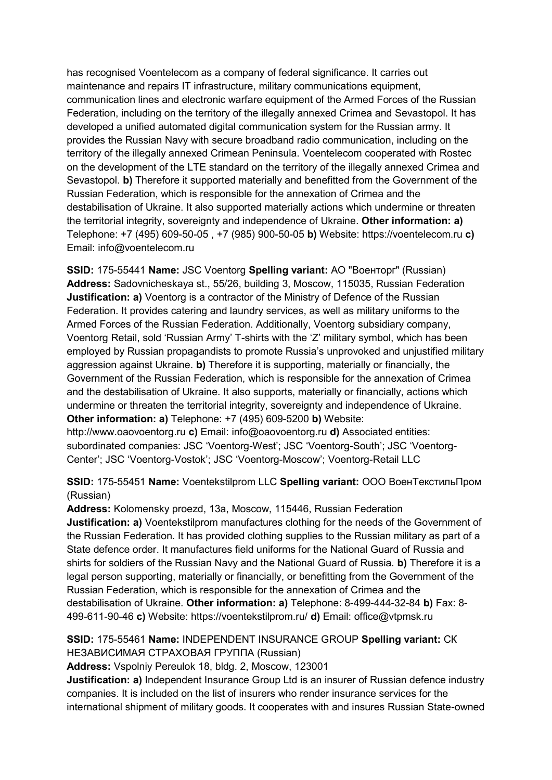has recognised Voentelecom as a company of federal significance. It carries out maintenance and repairs IT infrastructure, military communications equipment, communication lines and electronic warfare equipment of the Armed Forces of the Russian Federation, including on the territory of the illegally annexed Crimea and Sevastopol. It has developed a unified automated digital communication system for the Russian army. It provides the Russian Navy with secure broadband radio communication, including on the territory of the illegally annexed Crimean Peninsula. Voentelecom cooperated with Rostec on the development of the LTE standard on the territory of the illegally annexed Crimea and Sevastopol. **b)** Therefore it supported materially and benefitted from the Government of the Russian Federation, which is responsible for the annexation of Crimea and the destabilisation of Ukraine. It also supported materially actions which undermine or threaten the territorial integrity, sovereignty and independence of Ukraine. **Other information: a)**  Telephone: +7 (495) 609-50-05 , +7 (985) 900-50-05 **b)** Website: https://voentelecom.ru **c)**  Email: info@voentelecom.ru

**SSID:** 175-55441 **Name:** JSC Voentorg **Spelling variant:** АО "Военторг" (Russian) **Address:** Sadovnicheskaya st., 55/26, building 3, Moscow, 115035, Russian Federation **Justification: a)** Voentorg is a contractor of the Ministry of Defence of the Russian Federation. It provides catering and laundry services, as well as military uniforms to the Armed Forces of the Russian Federation. Additionally, Voentorg subsidiary company, Voentorg Retail, sold 'Russian Army' T-shirts with the 'Z' military symbol, which has been employed by Russian propagandists to promote Russia's unprovoked and unjustified military aggression against Ukraine. **b)** Therefore it is supporting, materially or financially, the Government of the Russian Federation, which is responsible for the annexation of Crimea and the destabilisation of Ukraine. It also supports, materially or financially, actions which undermine or threaten the territorial integrity, sovereignty and independence of Ukraine. **Other information: a)** Telephone: +7 (495) 609-5200 **b)** Website:

http://www.oaovoentorg.ru **c)** Email: info@oaovoentorg.ru **d)** Associated entities: subordinated companies: JSC 'Voentorg-West'; JSC 'Voentorg-South'; JSC 'Voentorg-Center'; JSC 'Voentorg-Vostok'; JSC 'Voentorg-Moscow'; Voentorg-Retail LLC

# **SSID:** 175-55451 **Name:** Voentekstilprom LLC **Spelling variant:** ООО ВоенТекстильПром (Russian)

**Address:** Kolomensky proezd, 13a, Moscow, 115446, Russian Federation **Justification: a)** Voentekstilprom manufactures clothing for the needs of the Government of the Russian Federation. It has provided clothing supplies to the Russian military as part of a State defence order. It manufactures field uniforms for the National Guard of Russia and shirts for soldiers of the Russian Navy and the National Guard of Russia. **b)** Therefore it is a legal person supporting, materially or financially, or benefitting from the Government of the Russian Federation, which is responsible for the annexation of Crimea and the destabilisation of Ukraine. **Other information: a)** Telephone: 8-499-444-32-84 **b)** Fax: 8- 499-611-90-46 **c)** Website: https://voentekstilprom.ru/ **d)** Email: office@vtpmsk.ru

#### **SSID:** 175-55461 **Name:** INDEPENDENT INSURANCE GROUP **Spelling variant:** СК НЕЗАВИСИМАЯ СТРАХОВАЯ ГРУППА (Russian)

**Address:** Vspolniy Pereulok 18, bldg. 2, Moscow, 123001

**Justification: a)** Independent Insurance Group Ltd is an insurer of Russian defence industry companies. It is included on the list of insurers who render insurance services for the international shipment of military goods. It cooperates with and insures Russian State-owned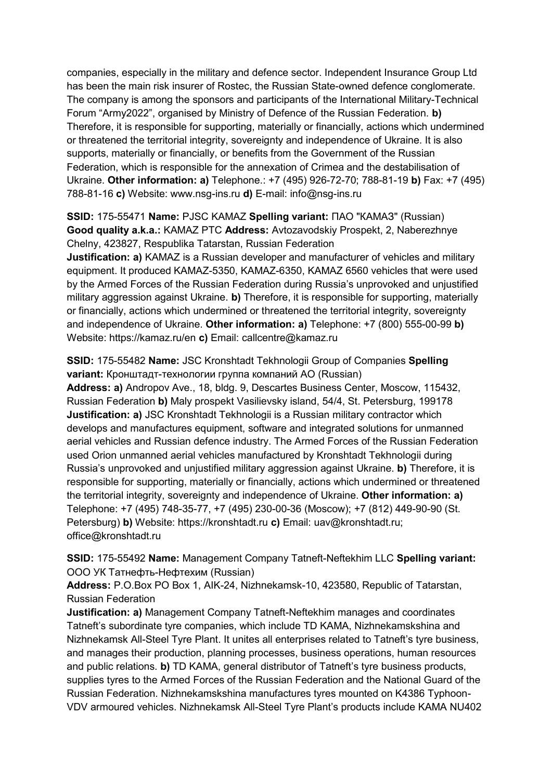companies, especially in the military and defence sector. Independent Insurance Group Ltd has been the main risk insurer of Rostec, the Russian State-owned defence conglomerate. The company is among the sponsors and participants of the International Military-Technical Forum "Army2022", organised by Ministry of Defence of the Russian Federation. **b)**  Therefore, it is responsible for supporting, materially or financially, actions which undermined or threatened the territorial integrity, sovereignty and independence of Ukraine. It is also supports, materially or financially, or benefits from the Government of the Russian Federation, which is responsible for the annexation of Crimea and the destabilisation of Ukraine. **Other information: a)** Telephone.: +7 (495) 926-72-70; 788-81-19 **b)** Fax: +7 (495) 788-81-16 **c)** Website: www.nsg-ins.ru **d)** E-mail: info@nsg-ins.ru

#### **SSID:** 175-55471 **Name:** PJSC KAMAZ **Spelling variant:** ПАО "КАМАЗ" (Russian) **Good quality a.k.a.:** KAMAZ PTC **Address:** Avtozavodskiy Prospekt, 2, Naberezhnye Chelny, 423827, Respublika Tatarstan, Russian Federation

**Justification: a)** KAMAZ is a Russian developer and manufacturer of vehicles and military equipment. It produced KAMAZ-5350, KAMAZ-6350, KAMAZ 6560 vehicles that were used by the Armed Forces of the Russian Federation during Russia's unprovoked and unjustified military aggression against Ukraine. **b)** Therefore, it is responsible for supporting, materially or financially, actions which undermined or threatened the territorial integrity, sovereignty and independence of Ukraine. **Other information: a)** Telephone: +7 (800) 555-00-99 **b)**  Website: https://kamaz.ru/en **c)** Email: callcentre@kamaz.ru

**SSID:** 175-55482 **Name:** JSC Kronshtadt Tekhnologii Group of Companies **Spelling variant:** Кронштадт-технологии группа компаний АО (Russian) **Address: a)** Andropov Ave., 18, bldg. 9, Descartes Business Center, Moscow, 115432, Russian Federation **b)** Maly prospekt Vasilievsky island, 54/4, St. Petersburg, 199178 **Justification: a)** JSC Kronshtadt Tekhnologii is a Russian military contractor which develops and manufactures equipment, software and integrated solutions for unmanned aerial vehicles and Russian defence industry. The Armed Forces of the Russian Federation used Orion unmanned aerial vehicles manufactured by Kronshtadt Tekhnologii during Russia's unprovoked and unjustified military aggression against Ukraine. **b)** Therefore, it is responsible for supporting, materially or financially, actions which undermined or threatened the territorial integrity, sovereignty and independence of Ukraine. **Other information: a)**  Telephone: +7 (495) 748-35-77, +7 (495) 230-00-36 (Moscow); +7 (812) 449-90-90 (St. Petersburg) **b)** Website: https://kronshtadt.ru **c)** Email: uav@kronshtadt.ru; office@kronshtadt.ru

**SSID:** 175-55492 **Name:** Management Company Tatneft-Neftekhim LLC **Spelling variant:**  OOO УК Татнефть-Нефтехим (Russian)

**Address:** P.O.Box PO Box 1, AIK-24, Nizhnekamsk-10, 423580, Republic of Tatarstan, Russian Federation

**Justification: a)** Management Company Tatneft-Neftekhim manages and coordinates Tatneft's subordinate tyre companies, which include TD KAMA, Nizhnekamskshina and Nizhnekamsk All-Steel Tyre Plant. It unites all enterprises related to Tatneft's tyre business, and manages their production, planning processes, business operations, human resources and public relations. **b)** TD KAMA, general distributor of Tatneft's tyre business products, supplies tyres to the Armed Forces of the Russian Federation and the National Guard of the Russian Federation. Nizhnekamskshina manufactures tyres mounted on K4386 Typhoon-VDV armoured vehicles. Nizhnekamsk All-Steel Tyre Plant's products include KAMA NU402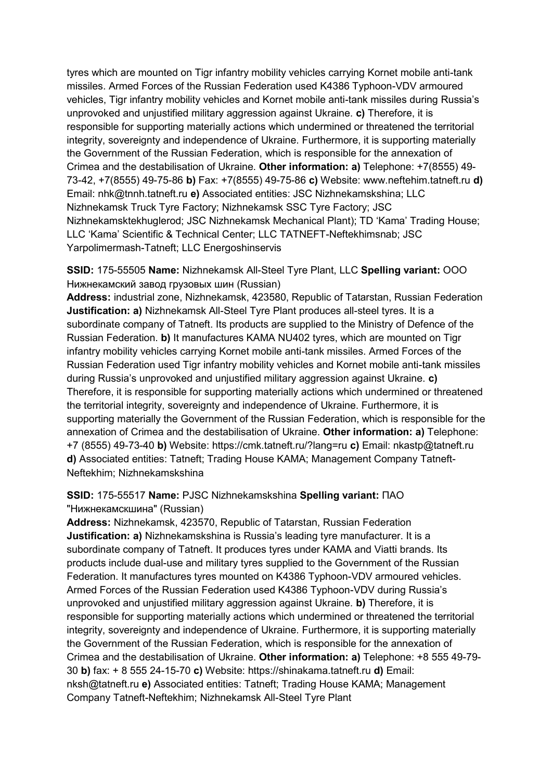tyres which are mounted on Tigr infantry mobility vehicles carrying Kornet mobile anti-tank missiles. Armed Forces of the Russian Federation used K4386 Typhoon-VDV armoured vehicles, Tigr infantry mobility vehicles and Kornet mobile anti-tank missiles during Russia's unprovoked and unjustified military aggression against Ukraine. **c)** Therefore, it is responsible for supporting materially actions which undermined or threatened the territorial integrity, sovereignty and independence of Ukraine. Furthermore, it is supporting materially the Government of the Russian Federation, which is responsible for the annexation of Crimea and the destabilisation of Ukraine. **Other information: a)** Telephone: +7(8555) 49- 73-42, +7(8555) 49-75-86 **b)** Fax: +7(8555) 49-75-86 **c)** Website: www.neftehim.tatneft.ru **d)**  Email: nhk@tnnh.tatneft.ru **e)** Associated entities: JSC Nizhnekamskshina; LLC Nizhnekamsk Truck Tyre Factory; Nizhnekamsk SSC Tyre Factory; JSC Nizhnekamsktekhuglerod; JSC Nizhnekamsk Mechanical Plant); TD 'Kama' Trading House; LLC 'Kama' Scientific & Technical Center; LLC TATNEFT-Neftekhimsnab; JSC Yarpolimermash-Tatneft; LLC Energoshinservis

**SSID:** 175-55505 **Name:** Nizhnekamsk All-Steel Tyre Plant, LLC **Spelling variant:** ООО Нижнекамский завод грузовых шин (Russian)

**Address:** industrial zone, Nizhnekamsk, 423580, Republic of Tatarstan, Russian Federation **Justification: a)** Nizhnekamsk All-Steel Tyre Plant produces all-steel tyres. It is a subordinate company of Tatneft. Its products are supplied to the Ministry of Defence of the Russian Federation. **b)** It manufactures KAMA NU402 tyres, which are mounted on Tigr infantry mobility vehicles carrying Kornet mobile anti-tank missiles. Armed Forces of the Russian Federation used Tigr infantry mobility vehicles and Kornet mobile anti-tank missiles during Russia's unprovoked and unjustified military aggression against Ukraine. **c)**  Therefore, it is responsible for supporting materially actions which undermined or threatened the territorial integrity, sovereignty and independence of Ukraine. Furthermore, it is supporting materially the Government of the Russian Federation, which is responsible for the annexation of Crimea and the destabilisation of Ukraine. **Other information: a)** Telephone: +7 (8555) 49-73-40 **b)** Website: https://cmk.tatneft.ru/?lang=ru **c)** Email: nkastp@tatneft.ru **d)** Associated entities: Tatneft; Trading House KAMA; Management Company Tatneft-Neftekhim; Nizhnekamskshina

# **SSID:** 175-55517 **Name:** PJSC Nizhnekamskshina **Spelling variant:** ПАО

"Нижнекамскшина" (Russian)

**Address:** Nizhnekamsk, 423570, Republic of Tatarstan, Russian Federation **Justification: a)** Nizhnekamskshina is Russia's leading tyre manufacturer. It is a subordinate company of Tatneft. It produces tyres under KAMA and Viatti brands. Its products include dual-use and military tyres supplied to the Government of the Russian Federation. It manufactures tyres mounted on K4386 Typhoon-VDV armoured vehicles. Armed Forces of the Russian Federation used K4386 Typhoon-VDV during Russia's unprovoked and unjustified military aggression against Ukraine. **b)** Therefore, it is responsible for supporting materially actions which undermined or threatened the territorial integrity, sovereignty and independence of Ukraine. Furthermore, it is supporting materially the Government of the Russian Federation, which is responsible for the annexation of Crimea and the destabilisation of Ukraine. **Other information: a)** Telephone: +8 555 49-79- 30 **b)** fax: + 8 555 24-15-70 **c)** Website: https://shinakama.tatneft.ru **d)** Email: nksh@tatneft.ru **e)** Associated entities: Tatneft; Trading House KAMA; Management Company Tatneft-Neftekhim; Nizhnekamsk All-Steel Tyre Plant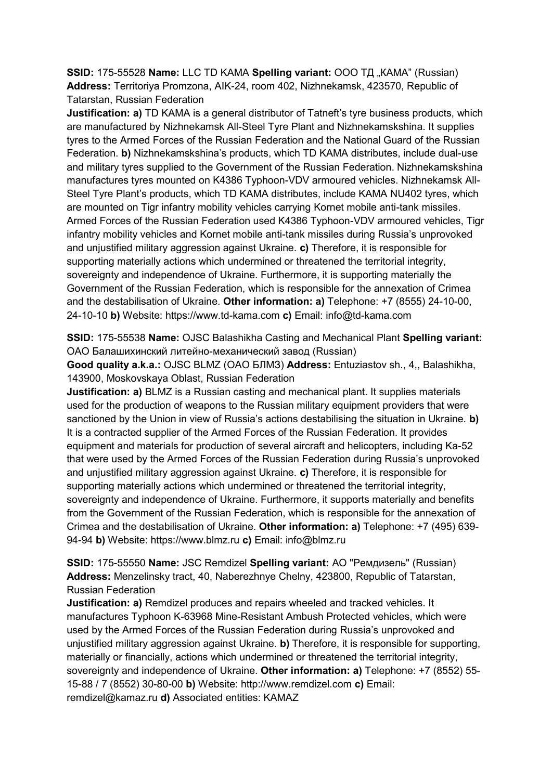**SSID:** 175-55528 Name: LLC TD KAMA Spelling variant: ООО ТД "КАМА" (Russian) **Address:** Territoriya Promzona, AIK-24, room 402, Nizhnekamsk, 423570, Republic of Tatarstan, Russian Federation

**Justification: a)** TD KAMA is a general distributor of Tatneft's tyre business products, which are manufactured by Nizhnekamsk All-Steel Tyre Plant and Nizhnekamskshina. It supplies tyres to the Armed Forces of the Russian Federation and the National Guard of the Russian Federation. **b)** Nizhnekamskshina's products, which TD KAMA distributes, include dual-use and military tyres supplied to the Government of the Russian Federation. Nizhnekamskshina manufactures tyres mounted on K4386 Typhoon-VDV armoured vehicles. Nizhnekamsk All-Steel Tyre Plant's products, which TD KAMA distributes, include KAMA NU402 tyres, which are mounted on Tigr infantry mobility vehicles carrying Kornet mobile anti-tank missiles. Armed Forces of the Russian Federation used K4386 Typhoon-VDV armoured vehicles, Tigr infantry mobility vehicles and Kornet mobile anti-tank missiles during Russia's unprovoked and unjustified military aggression against Ukraine. **c)** Therefore, it is responsible for supporting materially actions which undermined or threatened the territorial integrity, sovereignty and independence of Ukraine. Furthermore, it is supporting materially the Government of the Russian Federation, which is responsible for the annexation of Crimea and the destabilisation of Ukraine. **Other information: a)** Telephone: +7 (8555) 24-10-00, 24-10-10 **b)** Website: https://www.td-kama.com **c)** Email: info@td-kama.com

**SSID:** 175-55538 **Name:** OJSC Balashikha Casting and Mechanical Plant **Spelling variant:**  ОАО Балашихинский литейно-механический завод (Russian)

**Good quality a.k.a.:** OJSC BLMZ (ОАО БЛМЗ) **Address:** Entuziastov sh., 4,, Balashikha, 143900, Moskovskaya Oblast, Russian Federation

**Justification: a)** BLMZ is a Russian casting and mechanical plant. It supplies materials used for the production of weapons to the Russian military equipment providers that were sanctioned by the Union in view of Russia's actions destabilising the situation in Ukraine. **b)**  It is a contracted supplier of the Armed Forces of the Russian Federation. It provides equipment and materials for production of several aircraft and helicopters, including Ka-52 that were used by the Armed Forces of the Russian Federation during Russia's unprovoked and unjustified military aggression against Ukraine. **c)** Therefore, it is responsible for supporting materially actions which undermined or threatened the territorial integrity, sovereignty and independence of Ukraine. Furthermore, it supports materially and benefits from the Government of the Russian Federation, which is responsible for the annexation of Crimea and the destabilisation of Ukraine. **Other information: a)** Telephone: +7 (495) 639- 94-94 **b)** Website: https://www.blmz.ru **c)** Email: info@blmz.ru

**SSID:** 175-55550 **Name:** JSC Remdizel **Spelling variant:** АО "Ремдизель" (Russian) **Address:** Menzelinsky tract, 40, Naberezhnye Chelny, 423800, Republic of Tatarstan, Russian Federation

**Justification: a)** Remdizel produces and repairs wheeled and tracked vehicles. It manufactures Typhoon K-63968 Mine-Resistant Ambush Protected vehicles, which were used by the Armed Forces of the Russian Federation during Russia's unprovoked and unjustified military aggression against Ukraine. **b)** Therefore, it is responsible for supporting, materially or financially, actions which undermined or threatened the territorial integrity, sovereignty and independence of Ukraine. **Other information: a)** Telephone: +7 (8552) 55- 15-88 / 7 (8552) 30-80-00 **b)** Website: http://www.remdizel.com **c)** Email: remdizel@kamaz.ru **d)** Associated entities: KAMAZ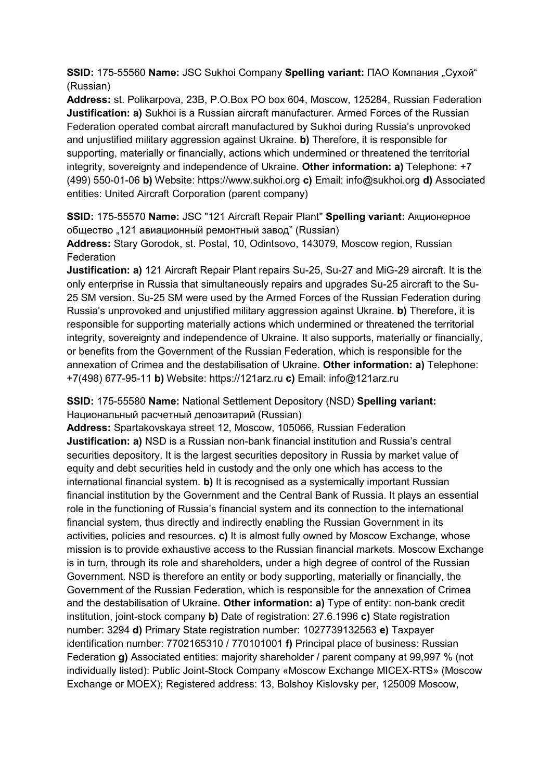**SSID:** 175-55560 **Name:** JSC Sukhoi Company **Spelling variant:** ПАО Компания "Сухой" (Russian)

**Address:** st. Polikarpova, 23B, P.O.Box PO box 604, Moscow, 125284, Russian Federation **Justification: a)** Sukhoi is a Russian aircraft manufacturer. Armed Forces of the Russian Federation operated combat aircraft manufactured by Sukhoi during Russia's unprovoked and unjustified military aggression against Ukraine. **b)** Therefore, it is responsible for supporting, materially or financially, actions which undermined or threatened the territorial integrity, sovereignty and independence of Ukraine. **Other information: a)** Telephone: +7 (499) 550-01-06 **b)** Website: https://www.sukhoi.org **c)** Email: info@sukhoi.org **d)** Associated entities: United Aircraft Corporation (parent company)

**SSID:** 175-55570 **Name:** JSC "121 Aircraft Repair Plant" **Spelling variant:** Акционерное общество "121 авиационный ремонтный завод" (Russian)

**Address:** Stary Gorodok, st. Postal, 10, Odintsovo, 143079, Moscow region, Russian Federation

**Justification: a)** 121 Aircraft Repair Plant repairs Su-25, Su-27 and MiG-29 aircraft. It is the only enterprise in Russia that simultaneously repairs and upgrades Su-25 aircraft to the Su-25 SM version. Su-25 SM were used by the Armed Forces of the Russian Federation during Russia's unprovoked and unjustified military aggression against Ukraine. **b)** Therefore, it is responsible for supporting materially actions which undermined or threatened the territorial integrity, sovereignty and independence of Ukraine. It also supports, materially or financially, or benefits from the Government of the Russian Federation, which is responsible for the annexation of Crimea and the destabilisation of Ukraine. **Other information: a)** Telephone: +7(498) 677-95-11 **b)** Website: https://121arz.ru **c)** Email: info@121arz.ru

**SSID:** 175-55580 **Name:** National Settlement Depository (NSD) **Spelling variant:**  Национальный расчетный депозитарий (Russian)

**Address:** Spartakovskaya street 12, Moscow, 105066, Russian Federation **Justification: a)** NSD is a Russian non-bank financial institution and Russia's central securities depository. It is the largest securities depository in Russia by market value of equity and debt securities held in custody and the only one which has access to the international financial system. **b)** It is recognised as a systemically important Russian financial institution by the Government and the Central Bank of Russia. It plays an essential role in the functioning of Russia's financial system and its connection to the international financial system, thus directly and indirectly enabling the Russian Government in its activities, policies and resources. **c)** It is almost fully owned by Moscow Exchange, whose mission is to provide exhaustive access to the Russian financial markets. Moscow Exchange is in turn, through its role and shareholders, under a high degree of control of the Russian Government. NSD is therefore an entity or body supporting, materially or financially, the Government of the Russian Federation, which is responsible for the annexation of Crimea and the destabilisation of Ukraine. **Other information: a)** Type of entity: non-bank credit institution, joint-stock company **b)** Date of registration: 27.6.1996 **c)** State registration number: 3294 **d)** Primary State registration number: 1027739132563 **e)** Taxpayer identification number: 7702165310 / 770101001 **f)** Principal place of business: Russian Federation **g)** Associated entities: majority shareholder / parent company at 99,997 % (not individually listed): Public Joint-Stock Company «Moscow Exchange MICEX-RTS» (Moscow Exchange or MOEX); Registered address: 13, Bolshoy Kislovsky per, 125009 Moscow,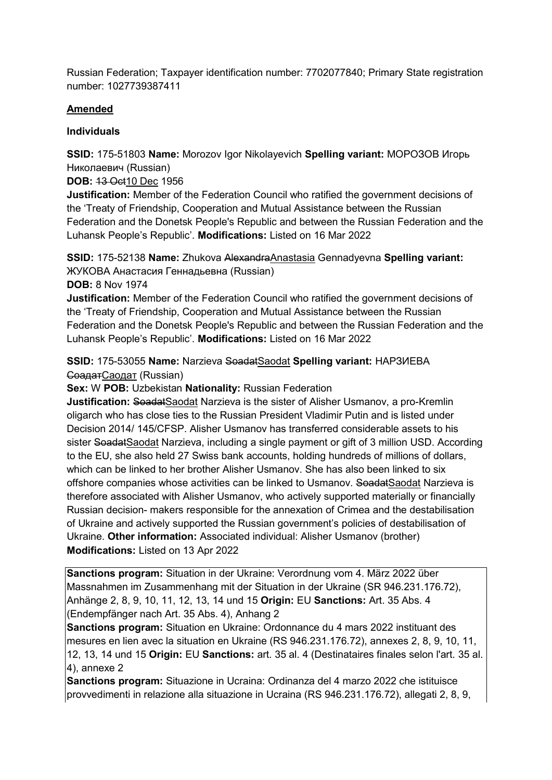Russian Federation; Taxpayer identification number: 7702077840; Primary State registration number: 1027739387411

# **Amended**

# **Individuals**

**SSID:** 175-51803 **Name:** Morozov Igor Nikolayevich **Spelling variant:** МОРОЗОВ Игорь Николаевич (Russian)

**DOB:** 13 Oct10 Dec 1956

**Justification:** Member of the Federation Council who ratified the government decisions of the 'Treaty of Friendship, Cooperation and Mutual Assistance between the Russian Federation and the Donetsk People's Republic and between the Russian Federation and the Luhansk People's Republic'. **Modifications:** Listed on 16 Mar 2022

**SSID:** 175-52138 **Name:** Zhukova AlexandraAnastasia Gennadyevna **Spelling variant:**  ЖУКОВА Анастасия Геннадьевна (Russian)

**DOB:** 8 Nov 1974

**Justification:** Member of the Federation Council who ratified the government decisions of the 'Treaty of Friendship, Cooperation and Mutual Assistance between the Russian Federation and the Donetsk People's Republic and between the Russian Federation and the Luhansk People's Republic'. **Modifications:** Listed on 16 Mar 2022

**SSID:** 175-53055 **Name:** Narzieva SoadatSaodat **Spelling variant:** НАРЗИЕВА СоадатСаодат (Russian)

**Sex:** W **POB:** Uzbekistan **Nationality:** Russian Federation

**Justification:** SoadatSaodat Narzieva is the sister of Alisher Usmanov, a pro-Kremlin oligarch who has close ties to the Russian President Vladimir Putin and is listed under Decision 2014/ 145/CFSP. Alisher Usmanov has transferred considerable assets to his sister SoadatSaodat Narzieva, including a single payment or gift of 3 million USD. According to the EU, she also held 27 Swiss bank accounts, holding hundreds of millions of dollars, which can be linked to her brother Alisher Usmanov. She has also been linked to six offshore companies whose activities can be linked to Usmanov. SoadatSaodat Narzieva is therefore associated with Alisher Usmanov, who actively supported materially or financially Russian decision- makers responsible for the annexation of Crimea and the destabilisation of Ukraine and actively supported the Russian government's policies of destabilisation of Ukraine. **Other information:** Associated individual: Alisher Usmanov (brother) **Modifications:** Listed on 13 Apr 2022

**Sanctions program:** Situation in der Ukraine: Verordnung vom 4. März 2022 über Massnahmen im Zusammenhang mit der Situation in der Ukraine (SR 946.231.176.72), Anhänge 2, 8, 9, 10, 11, 12, 13, 14 und 15 **Origin:** EU **Sanctions:** Art. 35 Abs. 4 (Endempfänger nach Art. 35 Abs. 4), Anhang 2

**Sanctions program:** Situation en Ukraine: Ordonnance du 4 mars 2022 instituant des mesures en lien avec la situation en Ukraine (RS 946.231.176.72), annexes 2, 8, 9, 10, 11, 12, 13, 14 und 15 **Origin:** EU **Sanctions:** art. 35 al. 4 (Destinataires finales selon l'art. 35 al. 4), annexe 2

**Sanctions program:** Situazione in Ucraina: Ordinanza del 4 marzo 2022 che istituisce provvedimenti in relazione alla situazione in Ucraina (RS 946.231.176.72), allegati 2, 8, 9,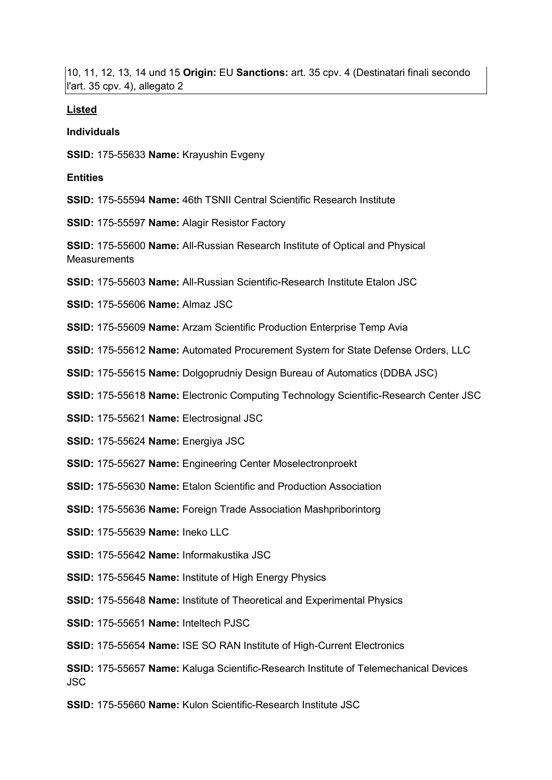10, 11, 12, 13, 14 und 15 **Origin:** EU **Sanctions:** art. 35 cpv. 4 (Destinatari finali secondo l'art. 35 cpv. 4), allegato 2

#### **Listed**

#### **Individuals**

**SSID:** 175-55633 **Name:** Krayushin Evgeny

#### **Entities**

**SSID:** 175-55594 **Name:** 46th TSNII Central Scientific Research Institute

**SSID:** 175-55597 **Name:** Alagir Resistor Factory

**SSID:** 175-55600 **Name:** All-Russian Research Institute of Optical and Physical **Measurements** 

**SSID:** 175-55603 **Name:** All-Russian Scientific-Research Institute Etalon JSC

**SSID:** 175-55606 **Name:** Almaz JSC

**SSID:** 175-55609 **Name:** Arzam Scientific Production Enterprise Temp Avia

**SSID:** 175-55612 **Name:** Automated Procurement System for State Defense Orders, LLC

**SSID:** 175-55615 **Name:** Dolgoprudniy Design Bureau of Automatics (DDBA JSC)

**SSID:** 175-55618 **Name:** Electronic Computing Technology Scientific-Research Center JSC

**SSID:** 175-55621 **Name:** Electrosignal JSC

**SSID:** 175-55624 **Name:** Energiya JSC

**SSID:** 175-55627 **Name:** Engineering Center Moselectronproekt

**SSID:** 175-55630 **Name:** Etalon Scientific and Production Association

**SSID:** 175-55636 **Name:** Foreign Trade Association Mashpriborintorg

**SSID:** 175-55639 **Name:** Ineko LLC

**SSID:** 175-55642 **Name:** Informakustika JSC

**SSID:** 175-55645 **Name:** Institute of High Energy Physics

**SSID:** 175-55648 **Name:** Institute of Theoretical and Experimental Physics

**SSID:** 175-55651 **Name:** Inteltech PJSC

**SSID:** 175-55654 **Name:** ISE SO RAN Institute of High-Current Electronics

**SSID:** 175-55657 **Name:** Kaluga Scientific-Research Institute of Telemechanical Devices JSC

**SSID:** 175-55660 **Name:** Kulon Scientific-Research Institute JSC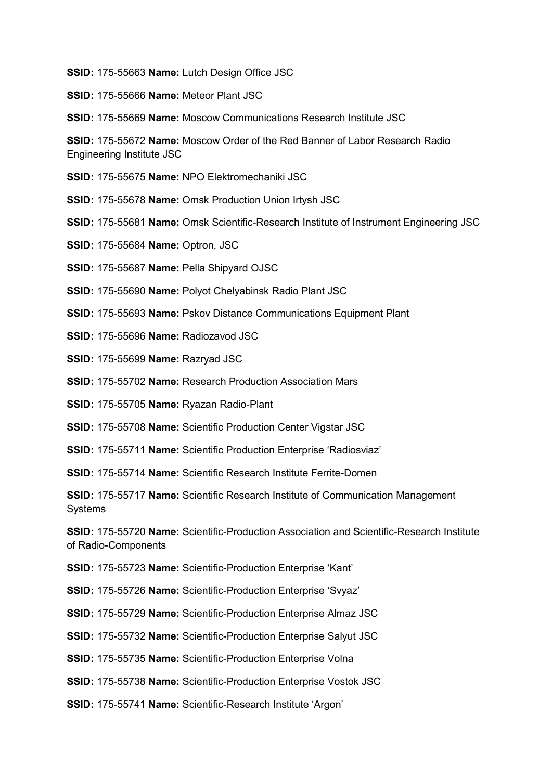**SSID:** 175-55663 **Name:** Lutch Design Office JSC

**SSID:** 175-55666 **Name:** Meteor Plant JSC

**SSID:** 175-55669 **Name:** Moscow Communications Research Institute JSC

**SSID:** 175-55672 **Name:** Moscow Order of the Red Banner of Labor Research Radio Engineering Institute JSC

**SSID:** 175-55675 **Name:** NPO Elektromechaniki JSC

**SSID:** 175-55678 **Name:** Omsk Production Union Irtysh JSC

**SSID:** 175-55681 **Name:** Omsk Scientific-Research Institute of Instrument Engineering JSC

**SSID:** 175-55684 **Name:** Optron, JSC

**SSID:** 175-55687 **Name:** Pella Shipyard OJSC

**SSID:** 175-55690 **Name:** Polyot Chelyabinsk Radio Plant JSC

**SSID:** 175-55693 **Name:** Pskov Distance Communications Equipment Plant

**SSID:** 175-55696 **Name:** Radiozavod JSC

**SSID:** 175-55699 **Name:** Razryad JSC

**SSID:** 175-55702 **Name:** Research Production Association Mars

**SSID:** 175-55705 **Name:** Ryazan Radio-Plant

**SSID:** 175-55708 **Name:** Scientific Production Center Vigstar JSC

**SSID:** 175-55711 **Name:** Scientific Production Enterprise 'Radiosviaz'

**SSID:** 175-55714 **Name:** Scientific Research Institute Ferrite-Domen

**SSID:** 175-55717 **Name:** Scientific Research Institute of Communication Management Systems

**SSID:** 175-55720 **Name:** Scientific-Production Association and Scientific-Research Institute of Radio-Components

**SSID:** 175-55723 **Name:** Scientific-Production Enterprise 'Kant'

**SSID:** 175-55726 **Name:** Scientific-Production Enterprise 'Svyaz'

**SSID:** 175-55729 **Name:** Scientific-Production Enterprise Almaz JSC

**SSID:** 175-55732 **Name:** Scientific-Production Enterprise Salyut JSC

**SSID:** 175-55735 **Name:** Scientific-Production Enterprise Volna

**SSID:** 175-55738 **Name:** Scientific-Production Enterprise Vostok JSC

**SSID:** 175-55741 **Name:** Scientific-Research Institute 'Argon'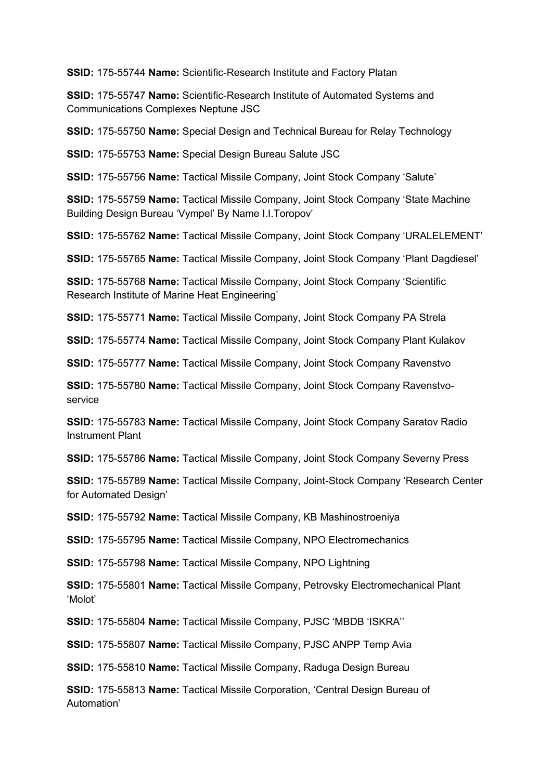**SSID:** 175-55744 **Name:** Scientific-Research Institute and Factory Platan

**SSID:** 175-55747 **Name:** Scientific-Research Institute of Automated Systems and Communications Complexes Neptune JSC

**SSID:** 175-55750 **Name:** Special Design and Technical Bureau for Relay Technology

**SSID:** 175-55753 **Name:** Special Design Bureau Salute JSC

**SSID:** 175-55756 **Name:** Tactical Missile Company, Joint Stock Company 'Salute'

**SSID:** 175-55759 **Name:** Tactical Missile Company, Joint Stock Company 'State Machine Building Design Bureau 'Vympel' By Name I.I.Toropov'

**SSID:** 175-55762 **Name:** Tactical Missile Company, Joint Stock Company 'URALELEMENT'

**SSID:** 175-55765 **Name:** Tactical Missile Company, Joint Stock Company 'Plant Dagdiesel'

**SSID:** 175-55768 **Name:** Tactical Missile Company, Joint Stock Company 'Scientific Research Institute of Marine Heat Engineering'

**SSID:** 175-55771 **Name:** Tactical Missile Company, Joint Stock Company PA Strela

**SSID:** 175-55774 **Name:** Tactical Missile Company, Joint Stock Company Plant Kulakov

**SSID:** 175-55777 **Name:** Tactical Missile Company, Joint Stock Company Ravenstvo

**SSID:** 175-55780 **Name:** Tactical Missile Company, Joint Stock Company Ravenstvoservice

**SSID:** 175-55783 **Name:** Tactical Missile Company, Joint Stock Company Saratov Radio Instrument Plant

**SSID:** 175-55786 **Name:** Tactical Missile Company, Joint Stock Company Severny Press

**SSID:** 175-55789 **Name:** Tactical Missile Company, Joint-Stock Company 'Research Center for Automated Design'

**SSID:** 175-55792 **Name:** Tactical Missile Company, KB Mashinostroeniya

**SSID:** 175-55795 **Name:** Tactical Missile Company, NPO Electromechanics

**SSID:** 175-55798 **Name:** Tactical Missile Company, NPO Lightning

**SSID:** 175-55801 **Name:** Tactical Missile Company, Petrovsky Electromechanical Plant 'Molot'

**SSID:** 175-55804 **Name:** Tactical Missile Company, PJSC 'MBDB 'ISKRA''

**SSID:** 175-55807 **Name:** Tactical Missile Company, PJSC ANPP Temp Avia

**SSID:** 175-55810 **Name:** Tactical Missile Company, Raduga Design Bureau

**SSID:** 175-55813 **Name:** Tactical Missile Corporation, 'Central Design Bureau of Automation'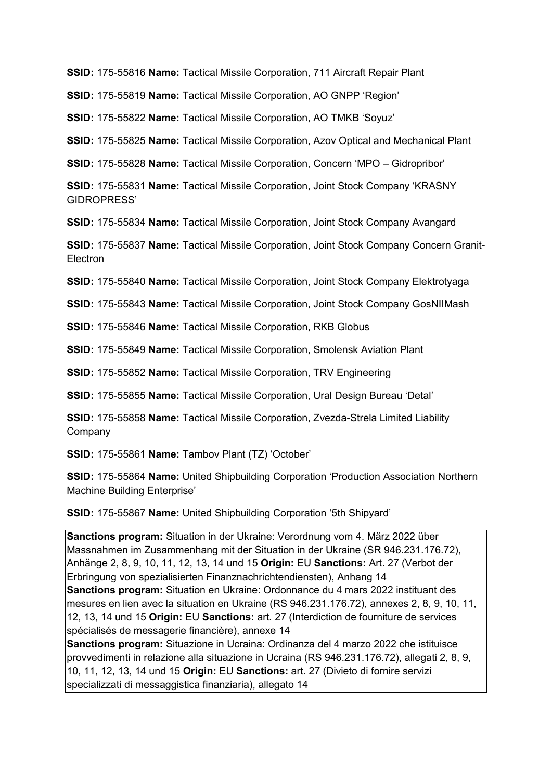**SSID:** 175-55816 **Name:** Tactical Missile Corporation, 711 Aircraft Repair Plant

**SSID:** 175-55819 **Name:** Tactical Missile Corporation, AO GNPP 'Region'

**SSID:** 175-55822 **Name:** Tactical Missile Corporation, AO TMKB 'Soyuz'

**SSID:** 175-55825 **Name:** Tactical Missile Corporation, Azov Optical and Mechanical Plant

**SSID:** 175-55828 **Name:** Tactical Missile Corporation, Concern 'MPO – Gidropribor'

**SSID:** 175-55831 **Name:** Tactical Missile Corporation, Joint Stock Company 'KRASNY GIDROPRESS'

**SSID:** 175-55834 **Name:** Tactical Missile Corporation, Joint Stock Company Avangard

**SSID:** 175-55837 **Name:** Tactical Missile Corporation, Joint Stock Company Concern Granit-Electron

**SSID:** 175-55840 **Name:** Tactical Missile Corporation, Joint Stock Company Elektrotyaga

**SSID:** 175-55843 **Name:** Tactical Missile Corporation, Joint Stock Company GosNIIMash

**SSID:** 175-55846 **Name:** Tactical Missile Corporation, RKB Globus

**SSID:** 175-55849 **Name:** Tactical Missile Corporation, Smolensk Aviation Plant

**SSID:** 175-55852 **Name:** Tactical Missile Corporation, TRV Engineering

**SSID:** 175-55855 **Name:** Tactical Missile Corporation, Ural Design Bureau 'Detal'

**SSID:** 175-55858 **Name:** Tactical Missile Corporation, Zvezda-Strela Limited Liability Company

**SSID:** 175-55861 **Name:** Tambov Plant (TZ) 'October'

**SSID:** 175-55864 **Name:** United Shipbuilding Corporation 'Production Association Northern Machine Building Enterprise'

**SSID:** 175-55867 **Name:** United Shipbuilding Corporation '5th Shipyard'

**Sanctions program:** Situation in der Ukraine: Verordnung vom 4. März 2022 über Massnahmen im Zusammenhang mit der Situation in der Ukraine (SR 946.231.176.72), Anhänge 2, 8, 9, 10, 11, 12, 13, 14 und 15 **Origin:** EU **Sanctions:** Art. 27 (Verbot der Erbringung von spezialisierten Finanznachrichtendiensten), Anhang 14 **Sanctions program:** Situation en Ukraine: Ordonnance du 4 mars 2022 instituant des mesures en lien avec la situation en Ukraine (RS 946.231.176.72), annexes 2, 8, 9, 10, 11, 12, 13, 14 und 15 **Origin:** EU **Sanctions:** art. 27 (Interdiction de fourniture de services spécialisés de messagerie financière), annexe 14 **Sanctions program:** Situazione in Ucraina: Ordinanza del 4 marzo 2022 che istituisce provvedimenti in relazione alla situazione in Ucraina (RS 946.231.176.72), allegati 2, 8, 9, 10, 11, 12, 13, 14 und 15 **Origin:** EU **Sanctions:** art. 27 (Divieto di fornire servizi

specializzati di messaggistica finanziaria), allegato 14